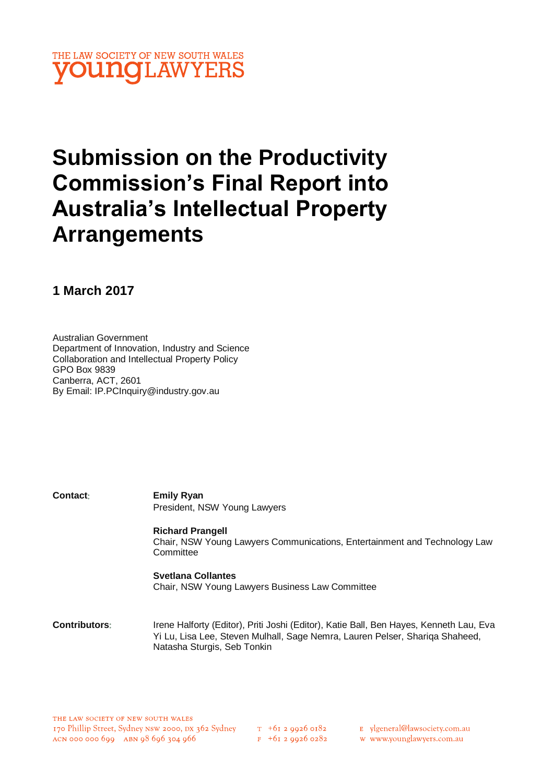

# **Submission on the Productivity Commission's Final Report into Australia's Intellectual Property Arrangements**

**1 March 2017**

Australian Government Department of Innovation, Industry and Science Collaboration and Intellectual Property Policy GPO Box 9839 Canberra, ACT, 2601 By Email: IP.PCInquiry@industry.gov.au

| Contact: | <b>Emily Ryan</b>                                                         |
|----------|---------------------------------------------------------------------------|
|          | President, NSW Young Lawyers                                              |
|          | <b>Richard Prangell</b>                                                   |
|          | Chair, NSW Young Lawyers Communications, Entertainment and Technology Law |
|          | Committee                                                                 |
|          | <b>Svetlana Collantes</b>                                                 |
|          |                                                                           |

Chair, NSW Young Lawyers Business Law Committee

**Contributors**: Irene Halforty (Editor), Priti Joshi (Editor), Katie Ball, Ben Hayes, Kenneth Lau, Eva Yi Lu, Lisa Lee, Steven Mulhall, Sage Nemra, Lauren Pelser, Shariqa Shaheed, Natasha Sturgis, Seb Tonkin

 $T_{+61}$  2 9926 0182

 $F + 6I$  2 9926 0282

- E ylgeneral@lawsociety.com.au
- w www.younglawyers.com.au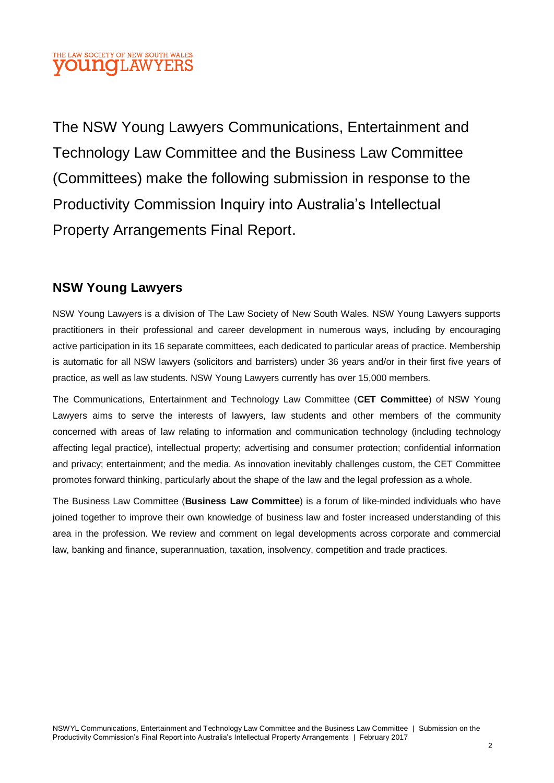## THE LAW SOCIETY OF NEW SOUTH WALES **OUNOLAWYEI**

The NSW Young Lawyers Communications, Entertainment and Technology Law Committee and the Business Law Committee (Committees) make the following submission in response to the Productivity Commission Inquiry into Australia's Intellectual Property Arrangements Final Report.

## **NSW Young Lawyers**

NSW Young Lawyers is a division of The Law Society of New South Wales. NSW Young Lawyers supports practitioners in their professional and career development in numerous ways, including by encouraging active participation in its 16 separate committees, each dedicated to particular areas of practice. Membership is automatic for all NSW lawyers (solicitors and barristers) under 36 years and/or in their first five years of practice, as well as law students. NSW Young Lawyers currently has over 15,000 members.

The Communications, Entertainment and Technology Law Committee (**CET Committee**) of NSW Young Lawyers aims to serve the interests of lawyers, law students and other members of the community concerned with areas of law relating to information and communication technology (including technology affecting legal practice), intellectual property; advertising and consumer protection; confidential information and privacy; entertainment; and the media. As innovation inevitably challenges custom, the CET Committee promotes forward thinking, particularly about the shape of the law and the legal profession as a whole.

The Business Law Committee (**Business Law Committee**) is a forum of like-minded individuals who have joined together to improve their own knowledge of business law and foster increased understanding of this area in the profession. We review and comment on legal developments across corporate and commercial law, banking and finance, superannuation, taxation, insolvency, competition and trade practices.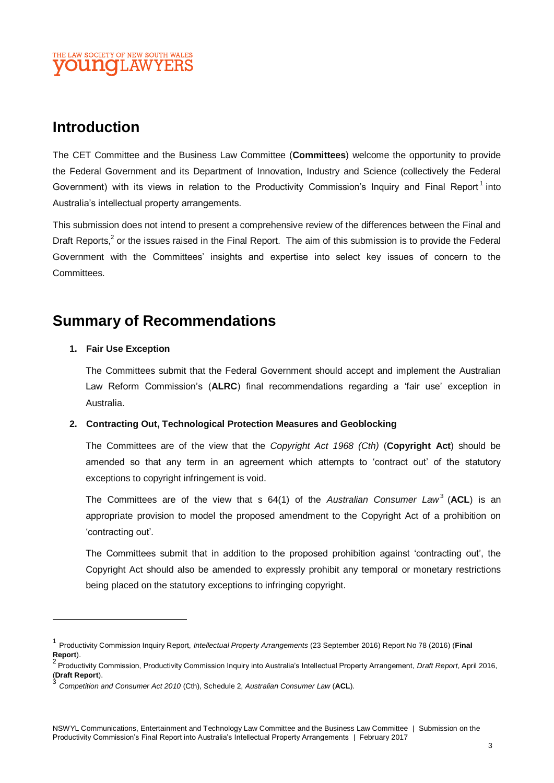## THE LAW SOCIETY OF NEW SOUTH WALES DUNOLAW

## **Introduction**

The CET Committee and the Business Law Committee (**Committees**) welcome the opportunity to provide the Federal Government and its Department of Innovation, Industry and Science (collectively the Federal Government) with its views in relation to the Productivity Commission's Inquiry and Final Report<sup>1</sup> into Australia's intellectual property arrangements.

This submission does not intend to present a comprehensive review of the differences between the Final and Draft Reports,<sup>2</sup> or the issues raised in the Final Report. The aim of this submission is to provide the Federal Government with the Committees' insights and expertise into select key issues of concern to the **Committees** 

## **Summary of Recommendations**

#### **1. Fair Use Exception**

 $\overline{a}$ 

The Committees submit that the Federal Government should accept and implement the Australian Law Reform Commission's (**ALRC**) final recommendations regarding a 'fair use' exception in Australia.

#### **2. Contracting Out, Technological Protection Measures and Geoblocking**

The Committees are of the view that the *Copyright Act 1968 (Cth)* (**Copyright Act**) should be amended so that any term in an agreement which attempts to 'contract out' of the statutory exceptions to copyright infringement is void.

The Committees are of the view that s 64(1) of the *Australian Consumer Law*<sup>3</sup> (**ACL**) is an appropriate provision to model the proposed amendment to the Copyright Act of a prohibition on 'contracting out'.

The Committees submit that in addition to the proposed prohibition against 'contracting out', the Copyright Act should also be amended to expressly prohibit any temporal or monetary restrictions being placed on the statutory exceptions to infringing copyright.

<sup>1</sup> Productivity Commission Inquiry Report, *Intellectual Property Arrangements* (23 September 2016) Report No 78 (2016) (**Final Report**).

<sup>2</sup> Productivity Commission, Productivity Commission Inquiry into Australia's Intellectual Property Arrangement, *Draft Report*, April 2016, (**Draft Report**). 3

*Competition and Consumer Act 2010* (Cth), Schedule 2, *Australian Consumer Law* (**ACL**).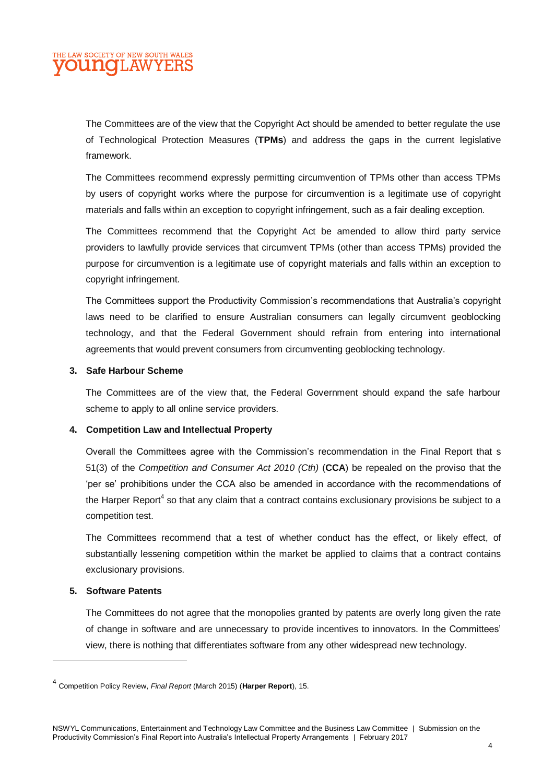The Committees are of the view that the Copyright Act should be amended to better regulate the use of Technological Protection Measures (**TPMs**) and address the gaps in the current legislative framework.

The Committees recommend expressly permitting circumvention of TPMs other than access TPMs by users of copyright works where the purpose for circumvention is a legitimate use of copyright materials and falls within an exception to copyright infringement, such as a fair dealing exception.

The Committees recommend that the Copyright Act be amended to allow third party service providers to lawfully provide services that circumvent TPMs (other than access TPMs) provided the purpose for circumvention is a legitimate use of copyright materials and falls within an exception to copyright infringement.

The Committees support the Productivity Commission's recommendations that Australia's copyright laws need to be clarified to ensure Australian consumers can legally circumvent geoblocking technology, and that the Federal Government should refrain from entering into international agreements that would prevent consumers from circumventing geoblocking technology.

#### **3. Safe Harbour Scheme**

The Committees are of the view that, the Federal Government should expand the safe harbour scheme to apply to all online service providers.

#### **4. Competition Law and Intellectual Property**

Overall the Committees agree with the Commission's recommendation in the Final Report that s 51(3) of the *Competition and Consumer Act 2010 (Cth)* (**CCA**) be repealed on the proviso that the 'per se' prohibitions under the CCA also be amended in accordance with the recommendations of the Harper Report<sup>4</sup> so that any claim that a contract contains exclusionary provisions be subject to a competition test.

The Committees recommend that a test of whether conduct has the effect, or likely effect, of substantially lessening competition within the market be applied to claims that a contract contains exclusionary provisions.

#### **5. Software Patents**

l

The Committees do not agree that the monopolies granted by patents are overly long given the rate of change in software and are unnecessary to provide incentives to innovators. In the Committees' view, there is nothing that differentiates software from any other widespread new technology.

<sup>4</sup> Competition Policy Review, *Final Report* (March 2015) (**Harper Report**), 15.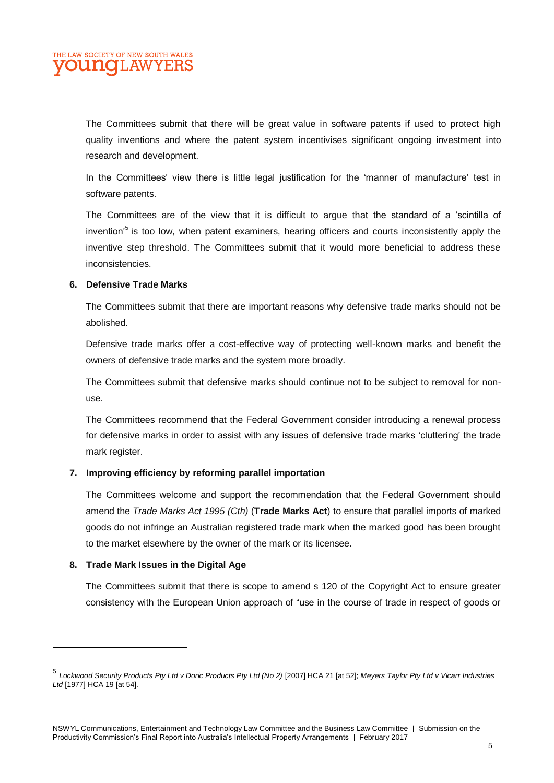

The Committees submit that there will be great value in software patents if used to protect high quality inventions and where the patent system incentivises significant ongoing investment into research and development.

In the Committees' view there is little legal justification for the 'manner of manufacture' test in software patents.

The Committees are of the view that it is difficult to argue that the standard of a 'scintilla of invention<sup>'5</sup> is too low, when patent examiners, hearing officers and courts inconsistently apply the inventive step threshold. The Committees submit that it would more beneficial to address these inconsistencies.

#### **6. Defensive Trade Marks**

The Committees submit that there are important reasons why defensive trade marks should not be abolished.

Defensive trade marks offer a cost-effective way of protecting well-known marks and benefit the owners of defensive trade marks and the system more broadly.

The Committees submit that defensive marks should continue not to be subject to removal for nonuse.

The Committees recommend that the Federal Government consider introducing a renewal process for defensive marks in order to assist with any issues of defensive trade marks 'cluttering' the trade mark register.

#### **7. Improving efficiency by reforming parallel importation**

The Committees welcome and support the recommendation that the Federal Government should amend the *Trade Marks Act 1995 (Cth)* (**Trade Marks Act**) to ensure that parallel imports of marked goods do not infringe an Australian registered trade mark when the marked good has been brought to the market elsewhere by the owner of the mark or its licensee.

#### **8. Trade Mark Issues in the Digital Age**

The Committees submit that there is scope to amend s 120 of the Copyright Act to ensure greater consistency with the European Union approach of "use in the course of trade in respect of goods or

<sup>5</sup> *Lockwood Security Products Pty Ltd v Doric Products Pty Ltd (No 2)* [2007] HCA 21 [at 52]; *Meyers Taylor Pty Ltd v Vicarr Industries Ltd* [1977] HCA 19 [at 54].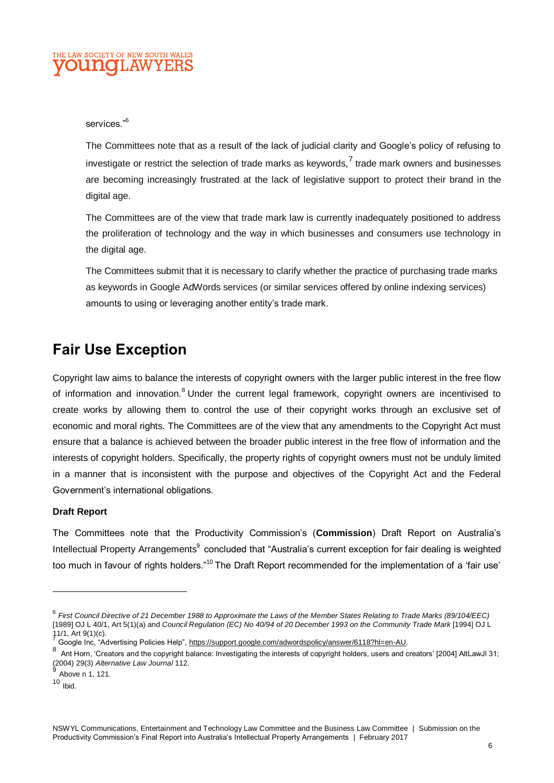

#### services."<sup>6</sup>

The Committees note that as a result of the lack of judicial clarity and Google's policy of refusing to investigate or restrict the selection of trade marks as keywords,<sup>7</sup> trade mark owners and businesses are becoming increasingly frustrated at the lack of legislative support to protect their brand in the digital age.

The Committees are of the view that trade mark law is currently inadequately positioned to address the proliferation of technology and the way in which businesses and consumers use technology in the digital age.

The Committees submit that it is necessary to clarify whether the practice of purchasing trade marks as keywords in Google AdWords services (or similar services offered by online indexing services) amounts to using or leveraging another entity's trade mark.

## **Fair Use Exception**

Copyright law aims to balance the interests of copyright owners with the larger public interest in the free flow of information and innovation.<sup>8</sup> Under the current legal framework, copyright owners are incentivised to create works by allowing them to control the use of their copyright works through an exclusive set of economic and moral rights. The Committees are of the view that any amendments to the Copyright Act must ensure that a balance is achieved between the broader public interest in the free flow of information and the interests of copyright holders. Specifically, the property rights of copyright owners must not be unduly limited in a manner that is inconsistent with the purpose and objectives of the Copyright Act and the Federal Government's international obligations.

#### **Draft Report**

The Committees note that the Productivity Commission's (**Commission**) Draft Report on Australia's Intellectual Property Arrangements<sup>9</sup> concluded that "Australia's current exception for fair dealing is weighted too much in favour of rights holders."<sup>10</sup> The Draft Report recommended for the implementation of a 'fair use'

<sup>6</sup> *First Council Directive of 21 December 1988 to Approximate the Laws of the Member States Relating to Trade Marks (89/104/EEC)* [1989] OJ L 40/1, Art 5(1)(a) and *Council Regulation (EC) No 40/94 of 20 December 1993 on the Community Trade Mark* [1994] OJ L 11/1, Art 9(1)(c).

<sup>7</sup> Google Inc, "Advertising Policies Help", [https://support.google.com/adwordspolicy/answer/6118?hl=en-AU.](https://support.google.com/adwordspolicy/answer/6118?hl=en-AU)

<sup>8&</sup>lt;br>Ant Horn, 'Creators and the copyright balance: Investigating the interests of copyright holders, users and creators' [2004] AltLawJl 31; (2004) 29(3) *Alternative Law Journal* 112. 9

Above n 1, 121.

 $10$  Ibid.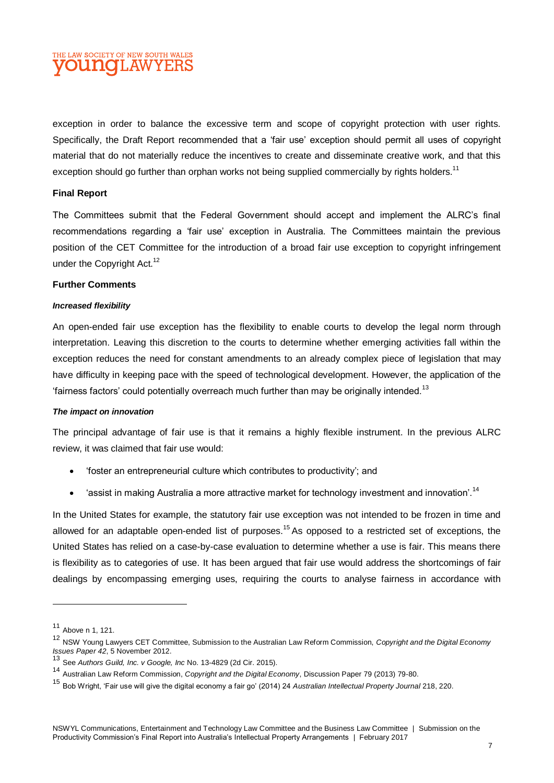### THE LAW SOCIETY OF NEW SOUTH WALES **OUINOL AW**

exception in order to balance the excessive term and scope of copyright protection with user rights. Specifically, the Draft Report recommended that a 'fair use' exception should permit all uses of copyright material that do not materially reduce the incentives to create and disseminate creative work, and that this exception should go further than orphan works not being supplied commercially by rights holders.<sup>11</sup>

#### **Final Report**

The Committees submit that the Federal Government should accept and implement the ALRC's final recommendations regarding a 'fair use' exception in Australia. The Committees maintain the previous position of the CET Committee for the introduction of a broad fair use exception to copyright infringement under the Copyright Act.<sup>12</sup>

#### **Further Comments**

#### *Increased flexibility*

An open-ended fair use exception has the flexibility to enable courts to develop the legal norm through interpretation. Leaving this discretion to the courts to determine whether emerging activities fall within the exception reduces the need for constant amendments to an already complex piece of legislation that may have difficulty in keeping pace with the speed of technological development. However, the application of the 'fairness factors' could potentially overreach much further than may be originally intended.<sup>13</sup>

#### *The impact on innovation*

The principal advantage of fair use is that it remains a highly flexible instrument. In the previous ALRC review, it was claimed that fair use would:

- 'foster an entrepreneurial culture which contributes to productivity'; and
- 'assist in making Australia a more attractive market for technology investment and innovation'.<sup>14</sup>

In the United States for example, the statutory fair use exception was not intended to be frozen in time and allowed for an adaptable open-ended list of purposes.<sup>15</sup> As opposed to a restricted set of exceptions, the United States has relied on a case-by-case evaluation to determine whether a use is fair. This means there is flexibility as to categories of use. It has been argued that fair use would address the shortcomings of fair dealings by encompassing emerging uses, requiring the courts to analyse fairness in accordance with

<sup>11</sup> Above n 1, 121.

<sup>12</sup> NSW Young Lawyers CET Committee, Submission to the Australian Law Reform Commission, *Copyright and the Digital Economy Issues Paper 42*, 5 November 2012. <sup>13</sup> See *Authors Guild, Inc. v Google, Inc* No. 13-4829 (2d Cir. 2015).

<sup>14</sup> Australian Law Reform Commission, *Copyright and the Digital Economy*, Discussion Paper 79 (2013) 79-80.

<sup>15</sup> Bob Wright, 'Fair use will give the digital economy a fair go' (2014) 24 *Australian Intellectual Property Journal* 218, 220.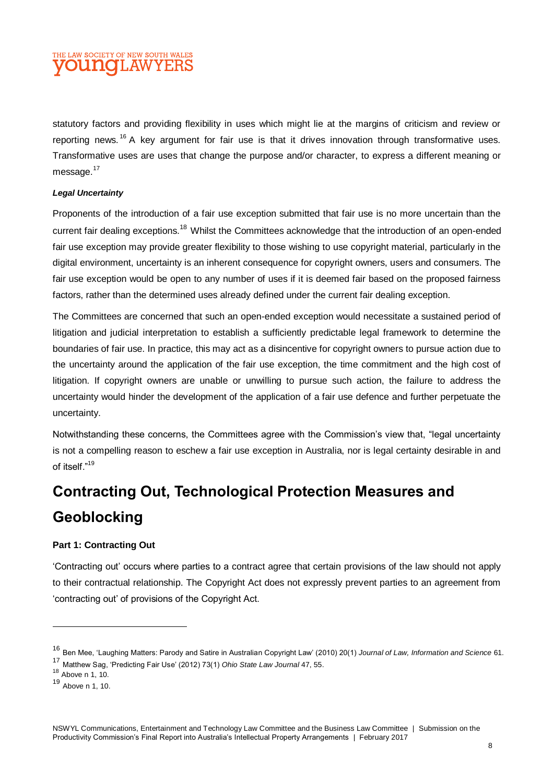

statutory factors and providing flexibility in uses which might lie at the margins of criticism and review or reporting news.<sup>16</sup> A key argument for fair use is that it drives innovation through transformative uses. Transformative uses are uses that change the purpose and/or character, to express a different meaning or message.<sup>17</sup>

#### *Legal Uncertainty*

Proponents of the introduction of a fair use exception submitted that fair use is no more uncertain than the current fair dealing exceptions.<sup>18</sup> Whilst the Committees acknowledge that the introduction of an open-ended fair use exception may provide greater flexibility to those wishing to use copyright material, particularly in the digital environment, uncertainty is an inherent consequence for copyright owners, users and consumers. The fair use exception would be open to any number of uses if it is deemed fair based on the proposed fairness factors, rather than the determined uses already defined under the current fair dealing exception.

The Committees are concerned that such an open-ended exception would necessitate a sustained period of litigation and judicial interpretation to establish a sufficiently predictable legal framework to determine the boundaries of fair use. In practice, this may act as a disincentive for copyright owners to pursue action due to the uncertainty around the application of the fair use exception, the time commitment and the high cost of litigation. If copyright owners are unable or unwilling to pursue such action, the failure to address the uncertainty would hinder the development of the application of a fair use defence and further perpetuate the uncertainty.

Notwithstanding these concerns, the Committees agree with the Commission's view that, "legal uncertainty is not a compelling reason to eschew a fair use exception in Australia, nor is legal certainty desirable in and of itself<sup>"19</sup>

# **Contracting Out, Technological Protection Measures and Geoblocking**

#### **Part 1: Contracting Out**

'Contracting out' occurs where parties to a contract agree that certain provisions of the law should not apply to their contractual relationship. The Copyright Act does not expressly prevent parties to an agreement from 'contracting out' of provisions of the Copyright Act.

<sup>16</sup> Ben Mee, 'Laughing Matters: Parody and Satire in Australian Copyright Law' (2010) 20(1) *Journal of Law, Information and Science* 61.

<sup>17</sup> Matthew Sag, 'Predicting Fair Use' (2012) 73(1) *Ohio State Law Journal* 47, 55.

<sup>18</sup> Above n 1, 10.

<sup>19</sup> Above n 1, 10.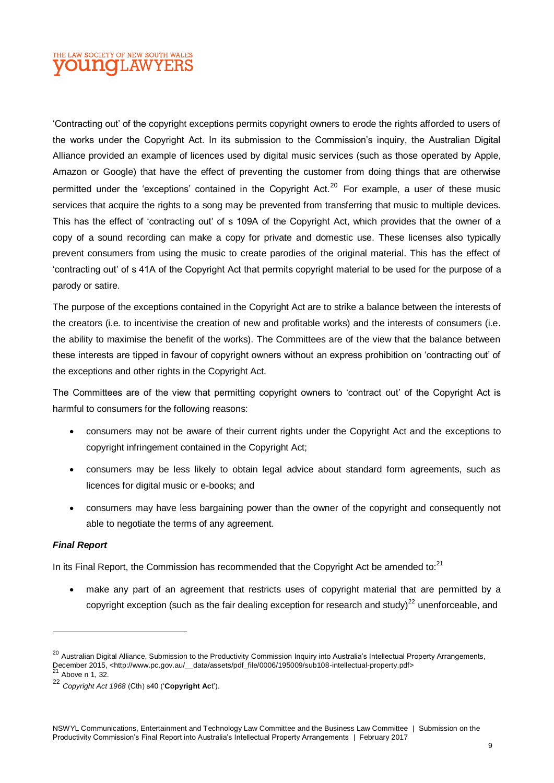## THE LAW SOCIETY OF NEW SOUTH WALES **OUINOL AW**

'Contracting out' of the copyright exceptions permits copyright owners to erode the rights afforded to users of the works under the Copyright Act. In its submission to the Commission's inquiry, the Australian Digital Alliance provided an example of licences used by digital music services (such as those operated by Apple, Amazon or Google) that have the effect of preventing the customer from doing things that are otherwise permitted under the 'exceptions' contained in the Copyright Act.<sup>20</sup> For example, a user of these music services that acquire the rights to a song may be prevented from transferring that music to multiple devices. This has the effect of 'contracting out' of s 109A of the Copyright Act, which provides that the owner of a copy of a sound recording can make a copy for private and domestic use. These licenses also typically prevent consumers from using the music to create parodies of the original material. This has the effect of 'contracting out' of s 41A of the Copyright Act that permits copyright material to be used for the purpose of a parody or satire.

The purpose of the exceptions contained in the Copyright Act are to strike a balance between the interests of the creators (i.e. to incentivise the creation of new and profitable works) and the interests of consumers (i.e. the ability to maximise the benefit of the works). The Committees are of the view that the balance between these interests are tipped in favour of copyright owners without an express prohibition on 'contracting out' of the exceptions and other rights in the Copyright Act.

The Committees are of the view that permitting copyright owners to 'contract out' of the Copyright Act is harmful to consumers for the following reasons:

- consumers may not be aware of their current rights under the Copyright Act and the exceptions to copyright infringement contained in the Copyright Act;
- consumers may be less likely to obtain legal advice about standard form agreements, such as licences for digital music or e-books; and
- consumers may have less bargaining power than the owner of the copyright and consequently not able to negotiate the terms of any agreement.

#### *Final Report*

In its Final Report, the Commission has recommended that the Copyright Act be amended to: $21$ 

 make any part of an agreement that restricts uses of copyright material that are permitted by a copyright exception (such as the fair dealing exception for research and study)<sup>22</sup> unenforceable, and

<sup>&</sup>lt;sup>20</sup> Australian Digital Alliance. Submission to the Productivity Commission Inquiry into Australia's Intellectual Property Arrangements, December 2015, <http://www.pc.gov.au/\_\_data/assets/pdf\_file/0006/195009/sub108-intellectual-property.pdf>

Above n 1, 32.

<sup>22</sup> *Copyright Act 1968* (Cth) s40 ('**Copyright Ac**t').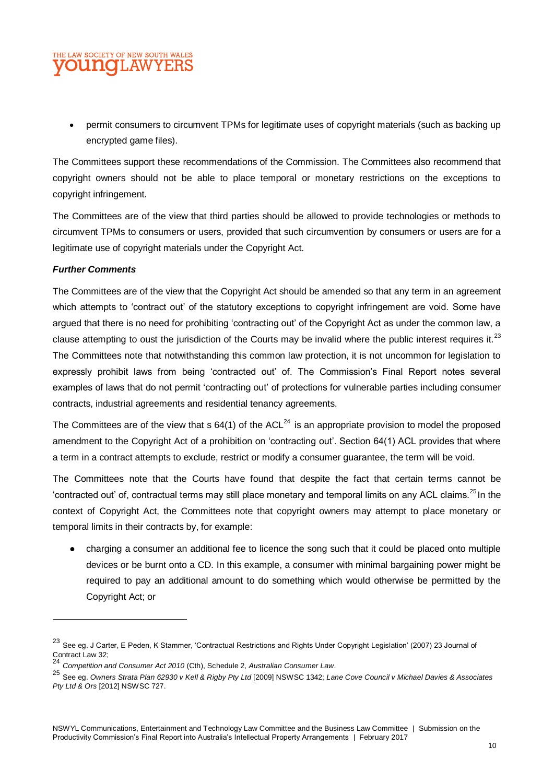## THE LAW SOCIETY OF NEW SOUTH WALES **OUNGLAWYEI**

 permit consumers to circumvent TPMs for legitimate uses of copyright materials (such as backing up encrypted game files).

The Committees support these recommendations of the Commission. The Committees also recommend that copyright owners should not be able to place temporal or monetary restrictions on the exceptions to copyright infringement.

The Committees are of the view that third parties should be allowed to provide technologies or methods to circumvent TPMs to consumers or users, provided that such circumvention by consumers or users are for a legitimate use of copyright materials under the Copyright Act.

#### *Further Comments*

 $\overline{a}$ 

The Committees are of the view that the Copyright Act should be amended so that any term in an agreement which attempts to 'contract out' of the statutory exceptions to copyright infringement are void. Some have argued that there is no need for prohibiting 'contracting out' of the Copyright Act as under the common law, a clause attempting to oust the jurisdiction of the Courts may be invalid where the public interest requires it. $^{23}$ The Committees note that notwithstanding this common law protection, it is not uncommon for legislation to expressly prohibit laws from being 'contracted out' of. The Commission's Final Report notes several examples of laws that do not permit 'contracting out' of protections for vulnerable parties including consumer contracts, industrial agreements and residential tenancy agreements.

The Committees are of the view that s  $64(1)$  of the ACL<sup>24</sup> is an appropriate provision to model the proposed amendment to the Copyright Act of a prohibition on 'contracting out'. Section 64(1) ACL provides that where a term in a contract attempts to exclude, restrict or modify a consumer guarantee, the term will be void.

The Committees note that the Courts have found that despite the fact that certain terms cannot be 'contracted out' of, contractual terms may still place monetary and temporal limits on any ACL claims.<sup>25</sup> In the context of Copyright Act, the Committees note that copyright owners may attempt to place monetary or temporal limits in their contracts by, for example:

• charging a consumer an additional fee to licence the song such that it could be placed onto multiple devices or be burnt onto a CD. In this example, a consumer with minimal bargaining power might be required to pay an additional amount to do something which would otherwise be permitted by the Copyright Act; or

<sup>23</sup> See eg. J Carter, E Peden, K Stammer, 'Contractual Restrictions and Rights Under Copyright Legislation' (2007) 23 Journal of Contract Law 32; <sup>24</sup> *Competition and Consumer Act 2010* (Cth), Schedule 2, *Australian Consumer Law*.

<sup>25</sup> See eg. *Owners Strata Plan 62930 v Kell & Rigby Pty Ltd* [2009] NSWSC 1342; *Lane Cove Council v Michael Davies & Associates Pty Ltd & Ors* [2012] NSWSC 727.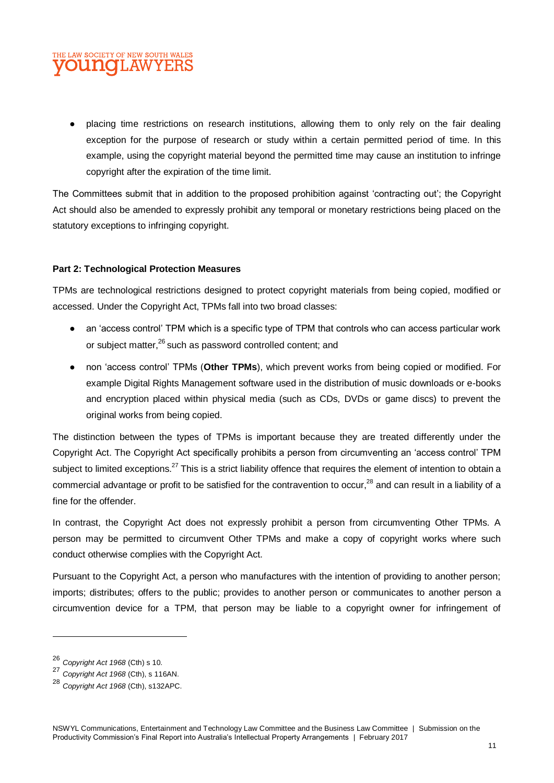## THE LAW SOCIETY OF NEW SOUTH WALES **OUNCILAWYEI**

● placing time restrictions on research institutions, allowing them to only rely on the fair dealing exception for the purpose of research or study within a certain permitted period of time. In this example, using the copyright material beyond the permitted time may cause an institution to infringe copyright after the expiration of the time limit.

The Committees submit that in addition to the proposed prohibition against 'contracting out'; the Copyright Act should also be amended to expressly prohibit any temporal or monetary restrictions being placed on the statutory exceptions to infringing copyright.

#### **Part 2: Technological Protection Measures**

TPMs are technological restrictions designed to protect copyright materials from being copied, modified or accessed. Under the Copyright Act, TPMs fall into two broad classes:

- an 'access control' TPM which is a specific type of TPM that controls who can access particular work or subject matter,<sup>26</sup> such as password controlled content; and
- non 'access control' TPMs (**Other TPMs**), which prevent works from being copied or modified. For example Digital Rights Management software used in the distribution of music downloads or e-books and encryption placed within physical media (such as CDs, DVDs or game discs) to prevent the original works from being copied.

The distinction between the types of TPMs is important because they are treated differently under the Copyright Act. The Copyright Act specifically prohibits a person from circumventing an 'access control' TPM subiect to limited exceptions.<sup>27</sup> This is a strict liability offence that requires the element of intention to obtain a commercial advantage or profit to be satisfied for the contravention to occur,<sup>28</sup> and can result in a liability of a fine for the offender.

In contrast, the Copyright Act does not expressly prohibit a person from circumventing Other TPMs. A person may be permitted to circumvent Other TPMs and make a copy of copyright works where such conduct otherwise complies with the Copyright Act.

Pursuant to the Copyright Act, a person who manufactures with the intention of providing to another person; imports; distributes; offers to the public; provides to another person or communicates to another person a circumvention device for a TPM, that person may be liable to a copyright owner for infringement of

<sup>26</sup> *Copyright Act 1968* (Cth) s 10.

<sup>27</sup> *Copyright Act 1968* (Cth), s 116AN.

<sup>28</sup> *Copyright Act 1968* (Cth), s132APC.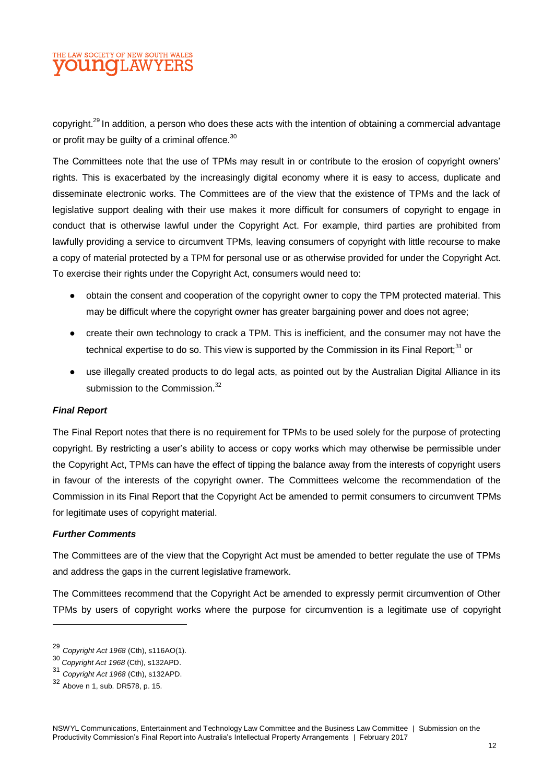## THE LAW SOCIETY OF NEW SOUTH WALES **OUNGLAWYEI**

copyright.<sup>29</sup> In addition, a person who does these acts with the intention of obtaining a commercial advantage or profit may be guilty of a criminal offence.<sup>30</sup>

The Committees note that the use of TPMs may result in or contribute to the erosion of copyright owners' rights. This is exacerbated by the increasingly digital economy where it is easy to access, duplicate and disseminate electronic works. The Committees are of the view that the existence of TPMs and the lack of legislative support dealing with their use makes it more difficult for consumers of copyright to engage in conduct that is otherwise lawful under the Copyright Act. For example, third parties are prohibited from lawfully providing a service to circumvent TPMs, leaving consumers of copyright with little recourse to make a copy of material protected by a TPM for personal use or as otherwise provided for under the Copyright Act. To exercise their rights under the Copyright Act, consumers would need to:

- obtain the consent and cooperation of the copyright owner to copy the TPM protected material. This may be difficult where the copyright owner has greater bargaining power and does not agree;
- create their own technology to crack a TPM. This is inefficient, and the consumer may not have the technical expertise to do so. This view is supported by the Commission in its Final Report; $31$  or
- use illegally created products to do legal acts, as pointed out by the Australian Digital Alliance in its submission to the Commission. $32$

#### *Final Report*

The Final Report notes that there is no requirement for TPMs to be used solely for the purpose of protecting copyright. By restricting a user's ability to access or copy works which may otherwise be permissible under the Copyright Act, TPMs can have the effect of tipping the balance away from the interests of copyright users in favour of the interests of the copyright owner. The Committees welcome the recommendation of the Commission in its Final Report that the Copyright Act be amended to permit consumers to circumvent TPMs for legitimate uses of copyright material.

#### *Further Comments*

The Committees are of the view that the Copyright Act must be amended to better regulate the use of TPMs and address the gaps in the current legislative framework.

The Committees recommend that the Copyright Act be amended to expressly permit circumvention of Other TPMs by users of copyright works where the purpose for circumvention is a legitimate use of copyright

<sup>29</sup> *Copyright Act 1968* (Cth), s116AO(1).

<sup>30</sup> *Copyright Act 1968* (Cth), s132APD.

<sup>31</sup> *Copyright Act 1968* (Cth), s132APD.

<sup>32</sup> Above n 1, sub. DR578, p. 15.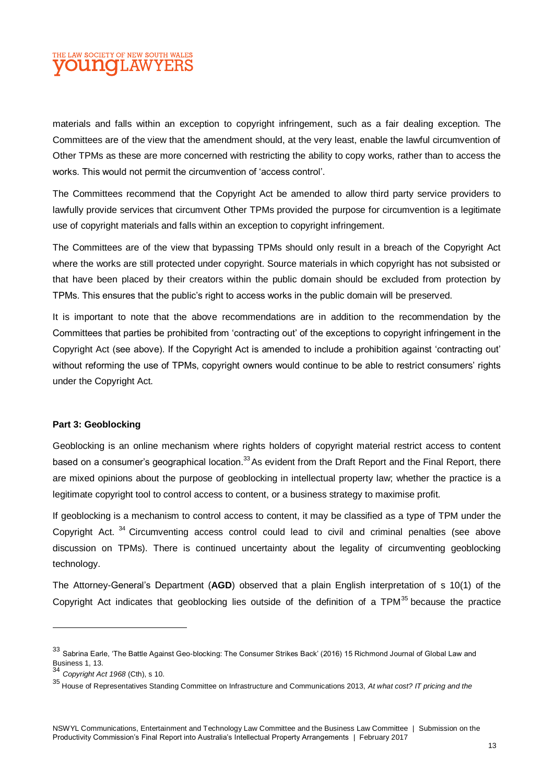## THE LAW SOCIETY OF NEW SOUTH WALES **OUINOILAWYEI**

materials and falls within an exception to copyright infringement, such as a fair dealing exception. The Committees are of the view that the amendment should, at the very least, enable the lawful circumvention of Other TPMs as these are more concerned with restricting the ability to copy works, rather than to access the works. This would not permit the circumvention of 'access control'.

The Committees recommend that the Copyright Act be amended to allow third party service providers to lawfully provide services that circumvent Other TPMs provided the purpose for circumvention is a legitimate use of copyright materials and falls within an exception to copyright infringement.

The Committees are of the view that bypassing TPMs should only result in a breach of the Copyright Act where the works are still protected under copyright. Source materials in which copyright has not subsisted or that have been placed by their creators within the public domain should be excluded from protection by TPMs. This ensures that the public's right to access works in the public domain will be preserved.

It is important to note that the above recommendations are in addition to the recommendation by the Committees that parties be prohibited from 'contracting out' of the exceptions to copyright infringement in the Copyright Act (see above). If the Copyright Act is amended to include a prohibition against 'contracting out' without reforming the use of TPMs, copyright owners would continue to be able to restrict consumers' rights under the Copyright Act.

#### **Part 3: Geoblocking**

Geoblocking is an online mechanism where rights holders of copyright material restrict access to content based on a consumer's geographical location.<sup>33</sup> As evident from the Draft Report and the Final Report, there are mixed opinions about the purpose of geoblocking in intellectual property law; whether the practice is a legitimate copyright tool to control access to content, or a business strategy to maximise profit.

If geoblocking is a mechanism to control access to content, it may be classified as a type of TPM under the Copyright Act.<sup>34</sup> Circumventing access control could lead to civil and criminal penalties (see above discussion on TPMs). There is continued uncertainty about the legality of circumventing geoblocking technology.

The Attorney-General's Department (**AGD**) observed that a plain English interpretation of s 10(1) of the Copyright Act indicates that geoblocking lies outside of the definition of a TPM $^{35}$  because the practice

<sup>33</sup> Sabrina Earle. 'The Battle Against Geo-blocking: The Consumer Strikes Back' (2016) 15 Richmond Journal of Global Law and Business 1, 13.

<sup>34</sup> *Copyright Act 1968* (Cth), s 10.

<sup>35</sup> House of Representatives Standing Committee on Infrastructure and Communications 2013, *At what cost? IT pricing and the*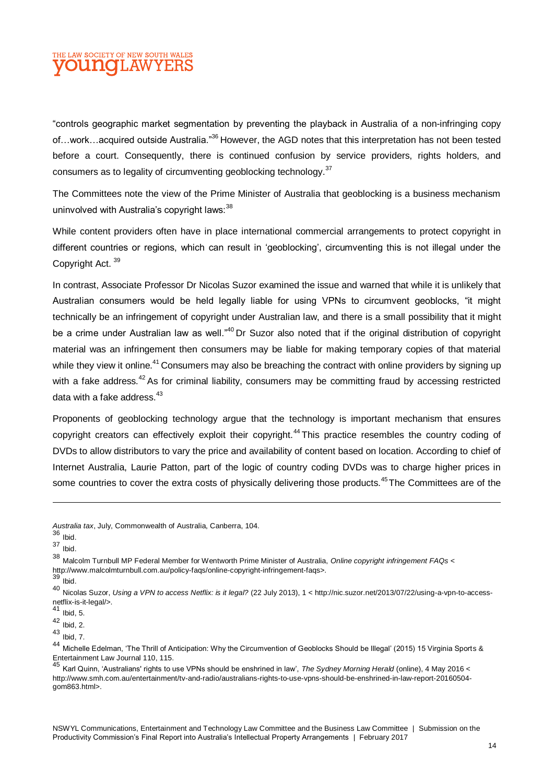## THE LAW SOCIETY OF NEW SOUTH WALES **DUINOILAW**

"controls geographic market segmentation by preventing the playback in Australia of a non-infringing copy of…work…acquired outside Australia."<sup>36</sup> However, the AGD notes that this interpretation has not been tested before a court. Consequently, there is continued confusion by service providers, rights holders, and consumers as to legality of circumventing geoblocking technology.<sup>37</sup>

The Committees note the view of the Prime Minister of Australia that geoblocking is a business mechanism uninvolved with Australia's copyright laws: 38

While content providers often have in place international commercial arrangements to protect copyright in different countries or regions, which can result in 'geoblocking', circumventing this is not illegal under the Copyright Act.<sup>39</sup>

In contrast, Associate Professor Dr Nicolas Suzor examined the issue and warned that while it is unlikely that Australian consumers would be held legally liable for using VPNs to circumvent geoblocks, "it might technically be an infringement of copyright under Australian law, and there is a small possibility that it might be a crime under Australian law as well.<sup>"40</sup> Dr Suzor also noted that if the original distribution of copyright material was an infringement then consumers may be liable for making temporary copies of that material while they view it online.<sup>41</sup> Consumers may also be breaching the contract with online providers by signing up with a fake address.<sup>42</sup> As for criminal liability, consumers may be committing fraud by accessing restricted data with a fake address.<sup>43</sup>

Proponents of geoblocking technology argue that the technology is important mechanism that ensures copyright creators can effectively exploit their copyright.<sup>44</sup> This practice resembles the country coding of DVDs to allow distributors to vary the price and availability of content based on location. According to chief of Internet Australia, Laurie Patton, part of the logic of country coding DVDs was to charge higher prices in some countries to cover the extra costs of physically delivering those products.<sup>45</sup>The Committees are of the

*Australia tax*, July, Commonwealth of Australia, Canberra, 104.

<sup>36</sup> Ibid.

<sup>37</sup> Ibid.

<sup>38</sup> Malcolm Turnbull MP Federal Member for Wentworth Prime Minister of Australia, *Online copyright infringement FAQs* <sup>&</sup>lt; http://www.malcolmturnbull.com.au/policy-faqs/online-copyright-infringement-faqs>.

<sup>39</sup> Ibid.

<sup>40</sup> Nicolas Suzor, *Using a VPN to access Netflix: is it legal?* (22 July 2013), 1 < http://nic.suzor.net/2013/07/22/using-a-vpn-to-accessnetflix-is-it-legal/>.<br><sup>41</sup> Ibid, 5.

<sup>42</sup> Ibid, 2.

 $43$  Ibid, 7.

<sup>44</sup> Michelle Edelman, 'The Thrill of Anticipation: Why the Circumvention of Geoblocks Should be Illegal' (2015) 15 Virginia Sports & Entertainment Law Journal 110, 115.

<sup>45</sup> Karl Quinn, 'Australians' rights to use VPNs should be enshrined in law', *The Sydney Morning Herald* (online), 4 May 2016 < http://www.smh.com.au/entertainment/tv-and-radio/australians-rights-to-use-vpns-should-be-enshrined-in-law-report-20160504 gom863.html>.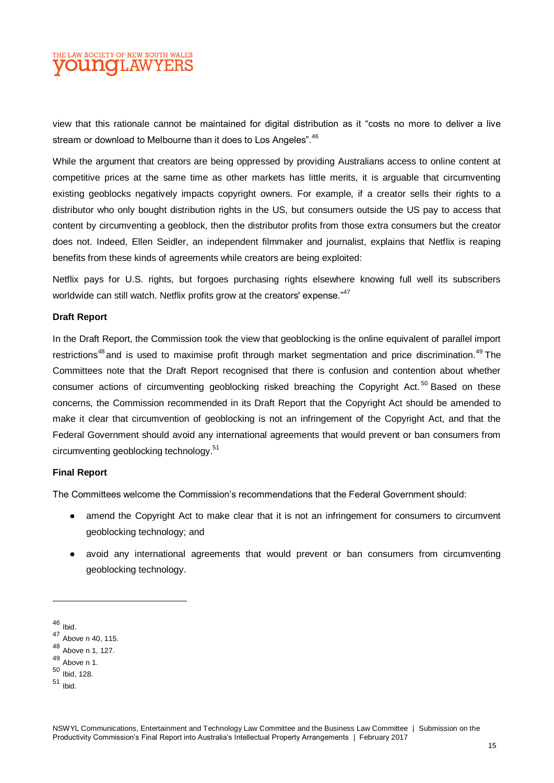## E LAW SOCIETY OF NEW SOUTH WALES **OUINOL AW**

view that this rationale cannot be maintained for digital distribution as it "costs no more to deliver a live stream or download to Melbourne than it does to Los Angeles". <sup>46</sup>

While the argument that creators are being oppressed by providing Australians access to online content at competitive prices at the same time as other markets has little merits, it is arguable that circumventing existing geoblocks negatively impacts copyright owners. For example, if a creator sells their rights to a distributor who only bought distribution rights in the US, but consumers outside the US pay to access that content by circumventing a geoblock, then the distributor profits from those extra consumers but the creator does not. Indeed, Ellen Seidler, an independent filmmaker and journalist, explains that Netflix is reaping benefits from these kinds of agreements while creators are being exploited:

Netflix pays for U.S. rights, but forgoes purchasing rights elsewhere knowing full well its subscribers worldwide can still watch. Netflix profits grow at the creators' expense."<sup>47</sup>

#### **Draft Report**

In the Draft Report, the Commission took the view that geoblocking is the online equivalent of parallel import restrictions<sup>48</sup> and is used to maximise profit through market segmentation and price discrimination.<sup>49</sup> The Committees note that the Draft Report recognised that there is confusion and contention about whether consumer actions of circumventing geoblocking risked breaching the Copyright Act.<sup>50</sup> Based on these concerns, the Commission recommended in its Draft Report that the Copyright Act should be amended to make it clear that circumvention of geoblocking is not an infringement of the Copyright Act, and that the Federal Government should avoid any international agreements that would prevent or ban consumers from circumventing geoblocking technology.<sup>51</sup>

#### **Final Report**

The Committees welcome the Commission's recommendations that the Federal Government should:

- amend the Copyright Act to make clear that it is not an infringement for consumers to circumvent geoblocking technology; and
- avoid any international agreements that would prevent or ban consumers from circumventing geoblocking technology.

<sup>46</sup> Ibid.

<sup>47</sup> Above n 40, 115.

<sup>48</sup> Above n 1, 127.

<sup>49</sup> Above n 1.

<sup>50</sup> Ibid, 128.

<sup>51</sup> Ibid.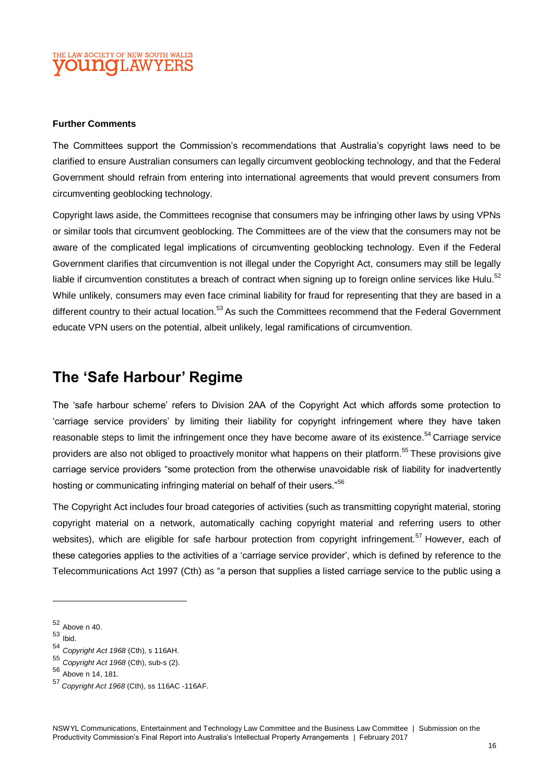### THE LAW SOCIETY OF NEW SOUTH WALES **OUINOILAW**

#### **Further Comments**

The Committees support the Commission's recommendations that Australia's copyright laws need to be clarified to ensure Australian consumers can legally circumvent geoblocking technology, and that the Federal Government should refrain from entering into international agreements that would prevent consumers from circumventing geoblocking technology.

Copyright laws aside, the Committees recognise that consumers may be infringing other laws by using VPNs or similar tools that circumvent geoblocking. The Committees are of the view that the consumers may not be aware of the complicated legal implications of circumventing geoblocking technology. Even if the Federal Government clarifies that circumvention is not illegal under the Copyright Act, consumers may still be legally liable if circumvention constitutes a breach of contract when signing up to foreign online services like Hulu. $52$ While unlikely, consumers may even face criminal liability for fraud for representing that they are based in a different country to their actual location.<sup>53</sup> As such the Committees recommend that the Federal Government educate VPN users on the potential, albeit unlikely, legal ramifications of circumvention.

## **The 'Safe Harbour' Regime**

The 'safe harbour scheme' refers to Division 2AA of the Copyright Act which affords some protection to 'carriage service providers' by limiting their liability for copyright infringement where they have taken reasonable steps to limit the infringement once they have become aware of its existence.<sup>54</sup> Carriage service providers are also not obliged to proactively monitor what happens on their platform.<sup>55</sup> These provisions give carriage service providers "some protection from the otherwise unavoidable risk of liability for inadvertently hosting or communicating infringing material on behalf of their users."<sup>56</sup>

The Copyright Act includes four broad categories of activities (such as transmitting copyright material, storing copyright material on a network, automatically caching copyright material and referring users to other websites), which are eligible for safe harbour protection from copyright infringement.<sup>57</sup> However, each of these categories applies to the activities of a 'carriage service provider', which is defined by reference to the Telecommunications Act 1997 (Cth) as "a person that supplies a listed carriage service to the public using a

<sup>52</sup> Above n 40.

<sup>53</sup> Ibid.

<sup>54</sup> *Copyright Act 1968* (Cth), s 116AH.

<sup>55</sup> *Copyright Act 1968* (Cth), sub-s (2).

<sup>56</sup> Above n 14, 181.

<sup>57</sup> *Copyright Act 1968* (Cth), ss 116AC -116AF.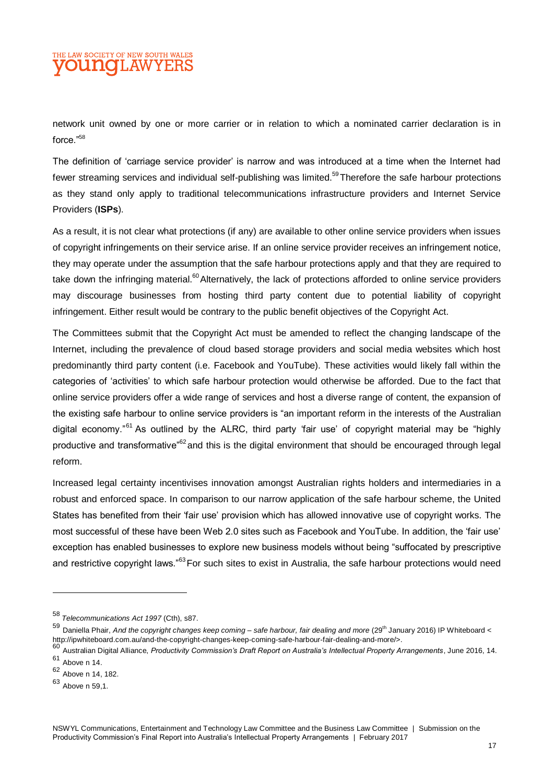## THE LAW SOCIETY OF NEW SOUTH WALES **OUINOILAW**

network unit owned by one or more carrier or in relation to which a nominated carrier declaration is in force."<sup>58</sup>

The definition of 'carriage service provider' is narrow and was introduced at a time when the Internet had fewer streaming services and individual self-publishing was limited.<sup>59</sup>Therefore the safe harbour protections as they stand only apply to traditional telecommunications infrastructure providers and Internet Service Providers (**ISPs**).

As a result, it is not clear what protections (if any) are available to other online service providers when issues of copyright infringements on their service arise. If an online service provider receives an infringement notice, they may operate under the assumption that the safe harbour protections apply and that they are required to take down the infringing material.<sup>60</sup>Alternatively, the lack of protections afforded to online service providers may discourage businesses from hosting third party content due to potential liability of copyright infringement. Either result would be contrary to the public benefit objectives of the Copyright Act.

The Committees submit that the Copyright Act must be amended to reflect the changing landscape of the Internet, including the prevalence of cloud based storage providers and social media websites which host predominantly third party content (i.e. Facebook and YouTube). These activities would likely fall within the categories of 'activities' to which safe harbour protection would otherwise be afforded. Due to the fact that online service providers offer a wide range of services and host a diverse range of content, the expansion of the existing safe harbour to online service providers is "an important reform in the interests of the Australian digital economy.<sup>"61</sup> As outlined by the ALRC, third party 'fair use' of copyright material may be "highly productive and transformative<sup>"62</sup> and this is the digital environment that should be encouraged through legal reform.

Increased legal certainty incentivises innovation amongst Australian rights holders and intermediaries in a robust and enforced space. In comparison to our narrow application of the safe harbour scheme, the United States has benefited from their 'fair use' provision which has allowed innovative use of copyright works. The most successful of these have been Web 2.0 sites such as Facebook and YouTube. In addition, the 'fair use' exception has enabled businesses to explore new business models without being "suffocated by prescriptive and restrictive copyright laws."<sup>63</sup>For such sites to exist in Australia, the safe harbour protections would need

<sup>58</sup> *Telecommunications Act 1997* (Cth), s87.

<sup>59</sup> Daniella Phair, And the copyright changes keep coming – safe harbour, fair dealing and more (29<sup>th</sup> January 2016) IP Whiteboard < http://ipwhiteboard.com.au/and-the-copyright-changes-keep-coming-safe-harbour-fair-dealing-and-more/>.

<sup>60</sup> Australian Digital Alliance, *Productivity Commission's Draft Report on Australia's Intellectual Property Arrangements*, June 2016, 14. <sup>61</sup> Above n 14.

<sup>62</sup> Above n 14, 182.

<sup>63</sup> Above n 59,1.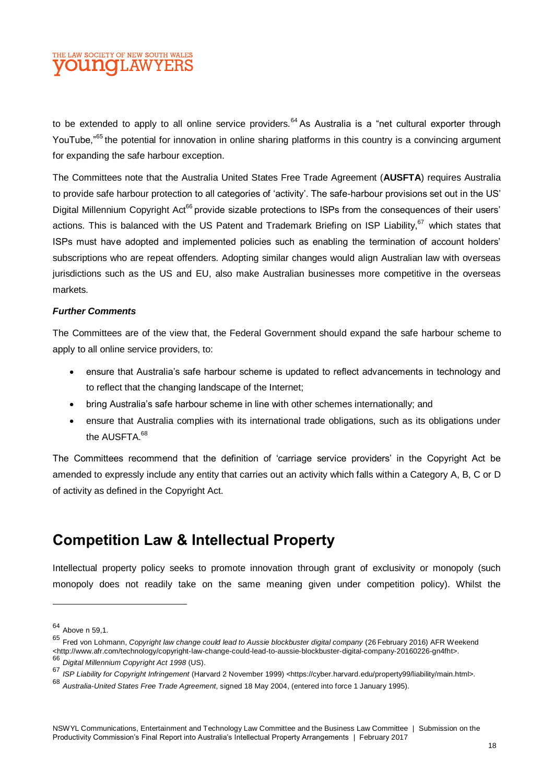## THE LAW SOCIETY OF NEW SOUTH WALES DUNOLAW

to be extended to apply to all online service providers.<sup>64</sup> As Australia is a "net cultural exporter through YouTube,<sup>"65</sup> the potential for innovation in online sharing platforms in this country is a convincing argument for expanding the safe harbour exception.

The Committees note that the Australia United States Free Trade Agreement (**AUSFTA**) requires Australia to provide safe harbour protection to all categories of 'activity'. The safe-harbour provisions set out in the US' Digital Millennium Copyright Act<sup>66</sup> provide sizable protections to ISPs from the consequences of their users' actions. This is balanced with the US Patent and Trademark Briefing on ISP Liability,<sup>67</sup> which states that ISPs must have adopted and implemented policies such as enabling the termination of account holders' subscriptions who are repeat offenders. Adopting similar changes would align Australian law with overseas jurisdictions such as the US and EU, also make Australian businesses more competitive in the overseas markets.

#### *Further Comments*

The Committees are of the view that, the Federal Government should expand the safe harbour scheme to apply to all online service providers, to:

- ensure that Australia's safe harbour scheme is updated to reflect advancements in technology and to reflect that the changing landscape of the Internet;
- bring Australia's safe harbour scheme in line with other schemes internationally; and
- ensure that Australia complies with its international trade obligations, such as its obligations under the AUSETA  $68$

The Committees recommend that the definition of 'carriage service providers' in the Copyright Act be amended to expressly include any entity that carries out an activity which falls within a Category A, B, C or D of activity as defined in the Copyright Act.

## **Competition Law & Intellectual Property**

Intellectual property policy seeks to promote innovation through grant of exclusivity or monopoly (such monopoly does not readily take on the same meaning given under competition policy). Whilst the

<sup>64</sup> Above n 59,1.

<sup>65</sup> Fred von Lohmann, *Copyright law change could lead to Aussie blockbuster digital company* (26 February 2016) AFR Weekend <http://www.afr.com/technology/copyright-law-change-could-lead-to-aussie-blockbuster-digital-company-20160226-gn4fht>. <sup>66</sup> *Digital Millennium Copyright Act 1998* (US).

<sup>67</sup> *ISP Liability for Copyright Infringement* (Harvard 2 November 1999) <https://cyber.harvard.edu/property99/liability/main.html>.

<sup>68</sup> *Australia-United States Free Trade Agreement*, signed 18 May 2004, (entered into force 1 January 1995).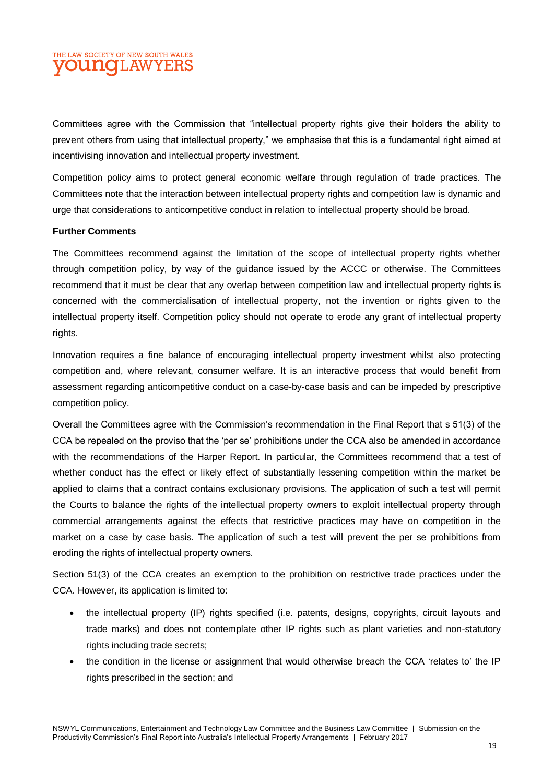## THE LAW SOCIETY OF NEW SOUTH WALES **OUNGLAWYEI**

Committees agree with the Commission that "intellectual property rights give their holders the ability to prevent others from using that intellectual property," we emphasise that this is a fundamental right aimed at incentivising innovation and intellectual property investment.

Competition policy aims to protect general economic welfare through regulation of trade practices. The Committees note that the interaction between intellectual property rights and competition law is dynamic and urge that considerations to anticompetitive conduct in relation to intellectual property should be broad.

#### **Further Comments**

The Committees recommend against the limitation of the scope of intellectual property rights whether through competition policy, by way of the guidance issued by the ACCC or otherwise. The Committees recommend that it must be clear that any overlap between competition law and intellectual property rights is concerned with the commercialisation of intellectual property, not the invention or rights given to the intellectual property itself. Competition policy should not operate to erode any grant of intellectual property rights.

Innovation requires a fine balance of encouraging intellectual property investment whilst also protecting competition and, where relevant, consumer welfare. It is an interactive process that would benefit from assessment regarding anticompetitive conduct on a case-by-case basis and can be impeded by prescriptive competition policy.

Overall the Committees agree with the Commission's recommendation in the Final Report that s 51(3) of the CCA be repealed on the proviso that the 'per se' prohibitions under the CCA also be amended in accordance with the recommendations of the Harper Report. In particular, the Committees recommend that a test of whether conduct has the effect or likely effect of substantially lessening competition within the market be applied to claims that a contract contains exclusionary provisions. The application of such a test will permit the Courts to balance the rights of the intellectual property owners to exploit intellectual property through commercial arrangements against the effects that restrictive practices may have on competition in the market on a case by case basis. The application of such a test will prevent the per se prohibitions from eroding the rights of intellectual property owners.

Section 51(3) of the CCA creates an exemption to the prohibition on restrictive trade practices under the CCA. However, its application is limited to:

- the intellectual property (IP) rights specified (i.e. patents, designs, copyrights, circuit layouts and trade marks) and does not contemplate other IP rights such as plant varieties and non-statutory rights including trade secrets;
- the condition in the license or assignment that would otherwise breach the CCA 'relates to' the IP rights prescribed in the section; and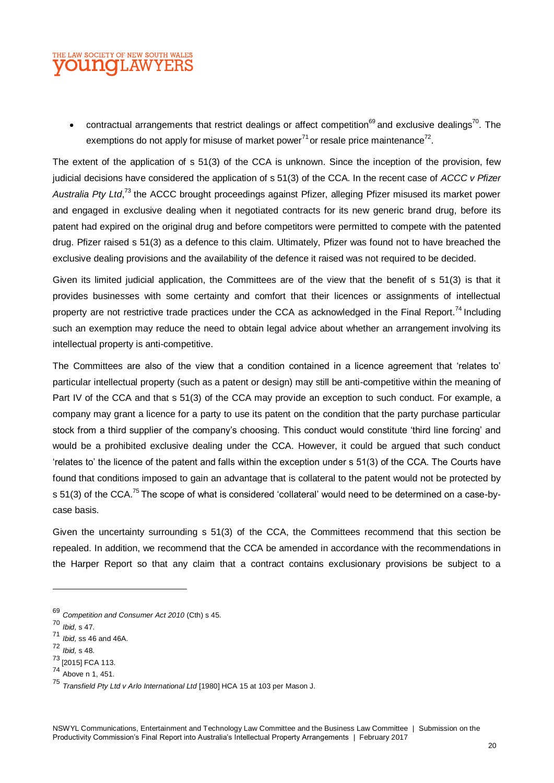### THE LAW SOCIETY OF NEW SOUTH WALES **OUNOLAW**

contractual arrangements that restrict dealings or affect competition<sup>69</sup> and exclusive dealings<sup>70</sup>. The exemptions do not apply for misuse of market power<sup>71</sup> or resale price maintenance<sup>72</sup>.

The extent of the application of s 51(3) of the CCA is unknown. Since the inception of the provision, few judicial decisions have considered the application of s 51(3) of the CCA. In the recent case of *ACCC v Pfizer*  Australia Pty Ltd,<sup>73</sup> the ACCC brought proceedings against Pfizer, alleging Pfizer misused its market power and engaged in exclusive dealing when it negotiated contracts for its new generic brand drug, before its patent had expired on the original drug and before competitors were permitted to compete with the patented drug. Pfizer raised s 51(3) as a defence to this claim. Ultimately, Pfizer was found not to have breached the exclusive dealing provisions and the availability of the defence it raised was not required to be decided.

Given its limited judicial application, the Committees are of the view that the benefit of s 51(3) is that it provides businesses with some certainty and comfort that their licences or assignments of intellectual property are not restrictive trade practices under the CCA as acknowledged in the Final Report.<sup>74</sup> Including such an exemption may reduce the need to obtain legal advice about whether an arrangement involving its intellectual property is anti-competitive.

The Committees are also of the view that a condition contained in a licence agreement that 'relates to' particular intellectual property (such as a patent or design) may still be anti-competitive within the meaning of Part IV of the CCA and that s 51(3) of the CCA may provide an exception to such conduct. For example, a company may grant a licence for a party to use its patent on the condition that the party purchase particular stock from a third supplier of the company's choosing. This conduct would constitute 'third line forcing' and would be a prohibited exclusive dealing under the CCA. However, it could be argued that such conduct 'relates to' the licence of the patent and falls within the exception under s 51(3) of the CCA. The Courts have found that conditions imposed to gain an advantage that is collateral to the patent would not be protected by s 51(3) of the CCA.<sup>75</sup> The scope of what is considered 'collateral' would need to be determined on a case-bycase basis.

Given the uncertainty surrounding s 51(3) of the CCA, the Committees recommend that this section be repealed. In addition, we recommend that the CCA be amended in accordance with the recommendations in the Harper Report so that any claim that a contract contains exclusionary provisions be subject to a

<sup>69</sup> *Competition and Consumer Act 2010* (Cth) s 45.

<sup>70</sup> *Ibid,* s 47.

<sup>71</sup> *Ibid,* ss 46 and 46A.

<sup>72</sup> *Ibid,* s 48.

 $^{73}$  [2015] FCA 113.

 $74 \n{\text{Above n 1, 451.}}$ 

<sup>75</sup> *Transfield Pty Ltd v Arlo International Ltd* [1980] HCA 15 at 103 per Mason J.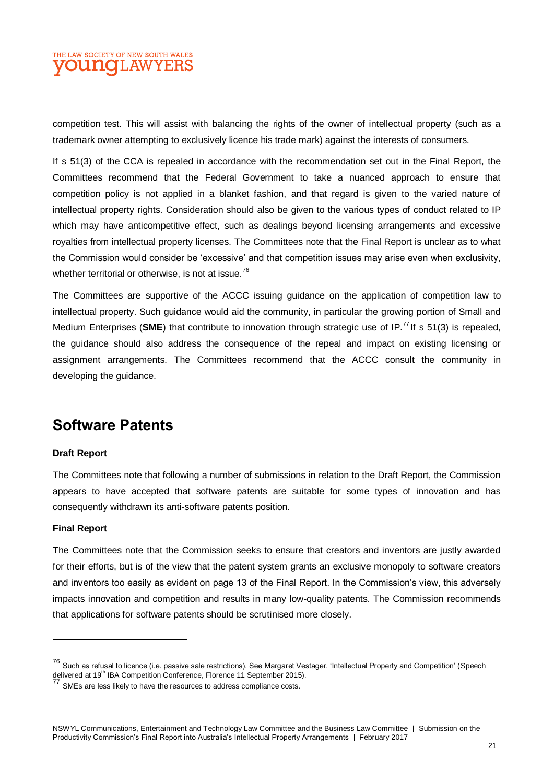## THE LAW SOCIETY OF NEW SOUTH WALES **OUNCLAWYEI**

competition test. This will assist with balancing the rights of the owner of intellectual property (such as a trademark owner attempting to exclusively licence his trade mark) against the interests of consumers.

If s 51(3) of the CCA is repealed in accordance with the recommendation set out in the Final Report, the Committees recommend that the Federal Government to take a nuanced approach to ensure that competition policy is not applied in a blanket fashion, and that regard is given to the varied nature of intellectual property rights. Consideration should also be given to the various types of conduct related to IP which may have anticompetitive effect, such as dealings beyond licensing arrangements and excessive royalties from intellectual property licenses. The Committees note that the Final Report is unclear as to what the Commission would consider be 'excessive' and that competition issues may arise even when exclusivity, whether territorial or otherwise, is not at issue.<sup>76</sup>

The Committees are supportive of the ACCC issuing guidance on the application of competition law to intellectual property. Such guidance would aid the community, in particular the growing portion of Small and Medium Enterprises (SME) that contribute to innovation through strategic use of IP.<sup>77</sup> If s 51(3) is repealed. the guidance should also address the consequence of the repeal and impact on existing licensing or assignment arrangements. The Committees recommend that the ACCC consult the community in developing the guidance.

## **Software Patents**

#### **Draft Report**

The Committees note that following a number of submissions in relation to the Draft Report, the Commission appears to have accepted that software patents are suitable for some types of innovation and has consequently withdrawn its anti-software patents position.

#### **Final Report**

The Committees note that the Commission seeks to ensure that creators and inventors are justly awarded for their efforts, but is of the view that the patent system grants an exclusive monopoly to software creators and inventors too easily as evident on page 13 of the Final Report. In the Commission's view, this adversely impacts innovation and competition and results in many low-quality patents. The Commission recommends that applications for software patents should be scrutinised more closely.

<sup>76</sup> Such as refusal to licence (i.e. passive sale restrictions). See Margaret Vestager, 'Intellectual Property and Competition' (Speech delivered at 19<sup>th</sup> IBA Competition Conference, Florence 11 September 2015).<br>
<sup>77</sup> CMF

SMEs are less likely to have the resources to address compliance costs.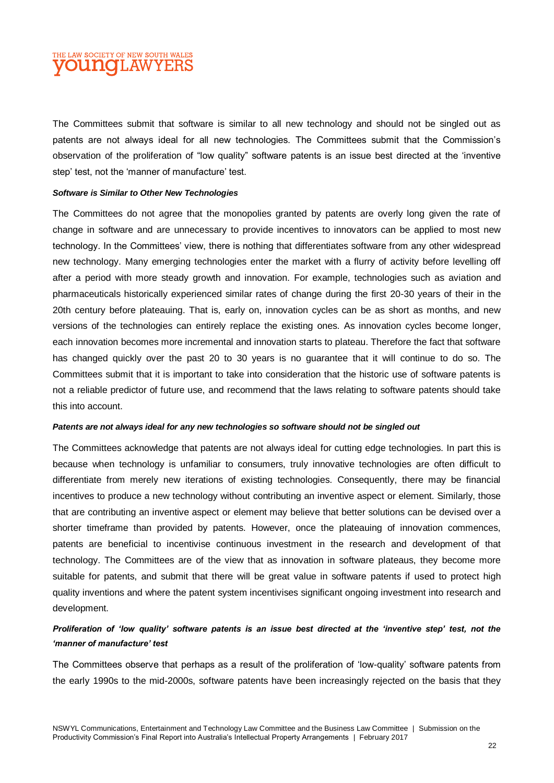## THE LAW SOCIETY OF NEW SOUTH WALES **OUNCLAWYEI**

The Committees submit that software is similar to all new technology and should not be singled out as patents are not always ideal for all new technologies. The Committees submit that the Commission's observation of the proliferation of "low quality" software patents is an issue best directed at the 'inventive step' test, not the 'manner of manufacture' test.

#### *Software is Similar to Other New Technologies*

The Committees do not agree that the monopolies granted by patents are overly long given the rate of change in software and are unnecessary to provide incentives to innovators can be applied to most new technology. In the Committees' view, there is nothing that differentiates software from any other widespread new technology. Many emerging technologies enter the market with a flurry of activity before levelling off after a period with more steady growth and innovation. For example, technologies such as aviation and pharmaceuticals historically experienced similar rates of change during the first 20-30 years of their in the 20th century before plateauing. That is, early on, innovation cycles can be as short as months, and new versions of the technologies can entirely replace the existing ones. As innovation cycles become longer, each innovation becomes more incremental and innovation starts to plateau. Therefore the fact that software has changed quickly over the past 20 to 30 years is no guarantee that it will continue to do so. The Committees submit that it is important to take into consideration that the historic use of software patents is not a reliable predictor of future use, and recommend that the laws relating to software patents should take this into account.

#### *Patents are not always ideal for any new technologies so software should not be singled out*

The Committees acknowledge that patents are not always ideal for cutting edge technologies. In part this is because when technology is unfamiliar to consumers, truly innovative technologies are often difficult to differentiate from merely new iterations of existing technologies. Consequently, there may be financial incentives to produce a new technology without contributing an inventive aspect or element. Similarly, those that are contributing an inventive aspect or element may believe that better solutions can be devised over a shorter timeframe than provided by patents. However, once the plateauing of innovation commences, patents are beneficial to incentivise continuous investment in the research and development of that technology. The Committees are of the view that as innovation in software plateaus, they become more suitable for patents, and submit that there will be great value in software patents if used to protect high quality inventions and where the patent system incentivises significant ongoing investment into research and development.

#### *Proliferation of 'low quality' software patents is an issue best directed at the 'inventive step' test, not the 'manner of manufacture' test*

The Committees observe that perhaps as a result of the proliferation of 'low-quality' software patents from the early 1990s to the mid-2000s, software patents have been increasingly rejected on the basis that they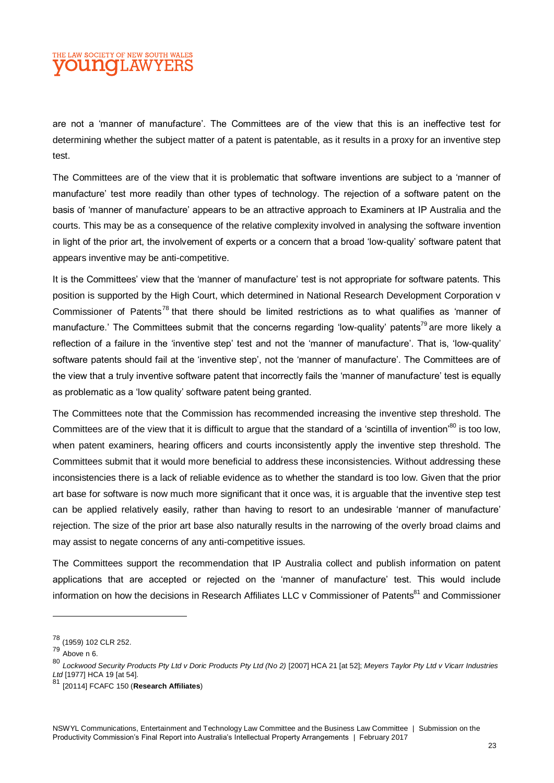### THE LAW SOCIETY OF NEW SOUTH WALES **OUNCILAWYEI**

are not a 'manner of manufacture'. The Committees are of the view that this is an ineffective test for determining whether the subject matter of a patent is patentable, as it results in a proxy for an inventive step test.

The Committees are of the view that it is problematic that software inventions are subject to a 'manner of manufacture' test more readily than other types of technology. The rejection of a software patent on the basis of 'manner of manufacture' appears to be an attractive approach to Examiners at IP Australia and the courts. This may be as a consequence of the relative complexity involved in analysing the software invention in light of the prior art, the involvement of experts or a concern that a broad 'low-quality' software patent that appears inventive may be anti-competitive.

It is the Committees' view that the 'manner of manufacture' test is not appropriate for software patents. This position is supported by the High Court, which determined in National Research Development Corporation v Commissioner of Patents<sup>78</sup> that there should be limited restrictions as to what qualifies as 'manner of manufacture.' The Committees submit that the concerns regarding 'low-quality' patents<sup>79</sup> are more likely a reflection of a failure in the 'inventive step' test and not the 'manner of manufacture'. That is, 'low-quality' software patents should fail at the 'inventive step', not the 'manner of manufacture'. The Committees are of the view that a truly inventive software patent that incorrectly fails the 'manner of manufacture' test is equally as problematic as a 'low quality' software patent being granted.

The Committees note that the Commission has recommended increasing the inventive step threshold. The Committees are of the view that it is difficult to argue that the standard of a 'scintilla of invention'<sup>80</sup> is too low, when patent examiners, hearing officers and courts inconsistently apply the inventive step threshold. The Committees submit that it would more beneficial to address these inconsistencies. Without addressing these inconsistencies there is a lack of reliable evidence as to whether the standard is too low. Given that the prior art base for software is now much more significant that it once was, it is arguable that the inventive step test can be applied relatively easily, rather than having to resort to an undesirable 'manner of manufacture' rejection. The size of the prior art base also naturally results in the narrowing of the overly broad claims and may assist to negate concerns of any anti-competitive issues.

The Committees support the recommendation that IP Australia collect and publish information on patent applications that are accepted or rejected on the 'manner of manufacture' test. This would include information on how the decisions in Research Affiliates LLC v Commissioner of Patents $81$  and Commissioner

<sup>78</sup> (1959) 102 CLR 252.

 $79 \n\begin{array}{c}\n\text{1000}, \\
\text{Above n 6.}\n\end{array}$ 

<sup>80</sup> *Lockwood Security Products Pty Ltd v Doric Products Pty Ltd (No 2)* [2007] HCA 21 [at 52]; *Meyers Taylor Pty Ltd v Vicarr Industries Ltd* [1977] HCA 19 [at 54].<br>81 res

<sup>81</sup> [20114] FCAFC 150 (**Research Affiliates**)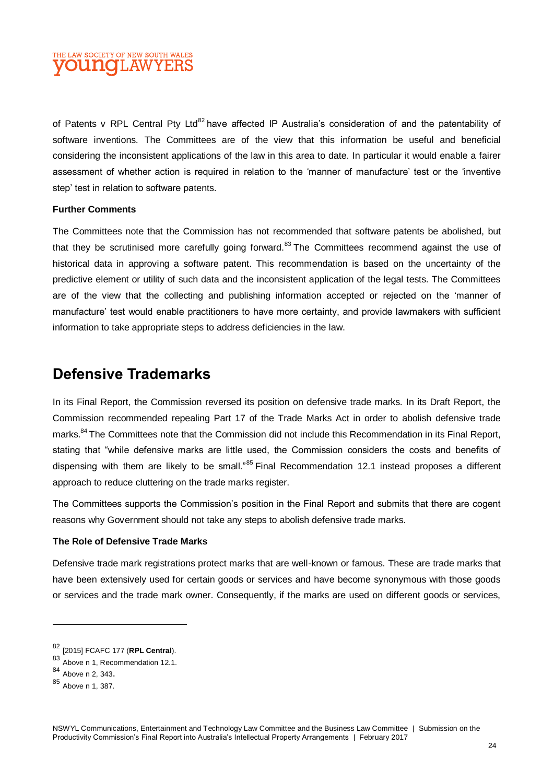

of Patents v RPL Central Pty Ltd<sup>82</sup> have affected IP Australia's consideration of and the patentability of software inventions. The Committees are of the view that this information be useful and beneficial considering the inconsistent applications of the law in this area to date. In particular it would enable a fairer assessment of whether action is required in relation to the 'manner of manufacture' test or the 'inventive step' test in relation to software patents.

#### **Further Comments**

The Committees note that the Commission has not recommended that software patents be abolished, but that they be scrutinised more carefully going forward.<sup>83</sup> The Committees recommend against the use of historical data in approving a software patent. This recommendation is based on the uncertainty of the predictive element or utility of such data and the inconsistent application of the legal tests. The Committees are of the view that the collecting and publishing information accepted or rejected on the 'manner of manufacture' test would enable practitioners to have more certainty, and provide lawmakers with sufficient information to take appropriate steps to address deficiencies in the law.

## **Defensive Trademarks**

In its Final Report, the Commission reversed its position on defensive trade marks. In its Draft Report, the Commission recommended repealing Part 17 of the Trade Marks Act in order to abolish defensive trade marks.<sup>84</sup> The Committees note that the Commission did not include this Recommendation in its Final Report, stating that "while defensive marks are little used, the Commission considers the costs and benefits of dispensing with them are likely to be small."<sup>85</sup> Final Recommendation 12.1 instead proposes a different approach to reduce cluttering on the trade marks register.

The Committees supports the Commission's position in the Final Report and submits that there are cogent reasons why Government should not take any steps to abolish defensive trade marks.

#### **The Role of Defensive Trade Marks**

Defensive trade mark registrations protect marks that are well-known or famous. These are trade marks that have been extensively used for certain goods or services and have become synonymous with those goods or services and the trade mark owner. Consequently, if the marks are used on different goods or services,

<sup>82</sup> [2015] FCAFC 177 (**RPL Central**).

 $83$  Above n 1, Recommendation 12.1.

<sup>84</sup> Above n 2, 343.

<sup>85</sup> Above n 1, 387.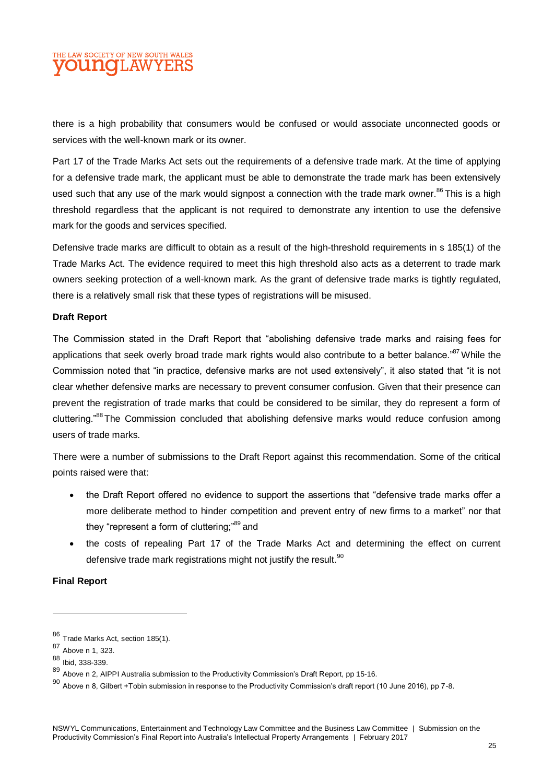## E LAW SOCIETY OF NEW SOUTH WALES **DUNOLAWYEI**

there is a high probability that consumers would be confused or would associate unconnected goods or services with the well-known mark or its owner.

Part 17 of the Trade Marks Act sets out the requirements of a defensive trade mark. At the time of applying for a defensive trade mark, the applicant must be able to demonstrate the trade mark has been extensively used such that any use of the mark would signpost a connection with the trade mark owner.<sup>86</sup> This is a high threshold regardless that the applicant is not required to demonstrate any intention to use the defensive mark for the goods and services specified.

Defensive trade marks are difficult to obtain as a result of the high-threshold requirements in s 185(1) of the Trade Marks Act. The evidence required to meet this high threshold also acts as a deterrent to trade mark owners seeking protection of a well-known mark. As the grant of defensive trade marks is tightly regulated, there is a relatively small risk that these types of registrations will be misused.

#### **Draft Report**

The Commission stated in the Draft Report that "abolishing defensive trade marks and raising fees for applications that seek overly broad trade mark rights would also contribute to a better balance."<sup>87</sup> While the Commission noted that "in practice, defensive marks are not used extensively", it also stated that "it is not clear whether defensive marks are necessary to prevent consumer confusion. Given that their presence can prevent the registration of trade marks that could be considered to be similar, they do represent a form of cluttering."<sup>88</sup>The Commission concluded that abolishing defensive marks would reduce confusion among users of trade marks.

There were a number of submissions to the Draft Report against this recommendation. Some of the critical points raised were that:

- the Draft Report offered no evidence to support the assertions that "defensive trade marks offer a more deliberate method to hinder competition and prevent entry of new firms to a market" nor that they "represent a form of cluttering;"<sup>89</sup> and
- the costs of repealing Part 17 of the Trade Marks Act and determining the effect on current defensive trade mark registrations might not justify the result. $90$

#### **Final Report**

<sup>86</sup> Trade Marks Act, section 185(1).

<sup>87</sup> Above n 1, 323.

<sup>88</sup> Ibid, 338-339.

<sup>89</sup> Above n 2, AIPPI Australia submission to the Productivity Commission's Draft Report, pp 15-16.

 $90$  Above n 8, Gilbert +Tobin submission in response to the Productivity Commission's draft report (10 June 2016), pp 7-8.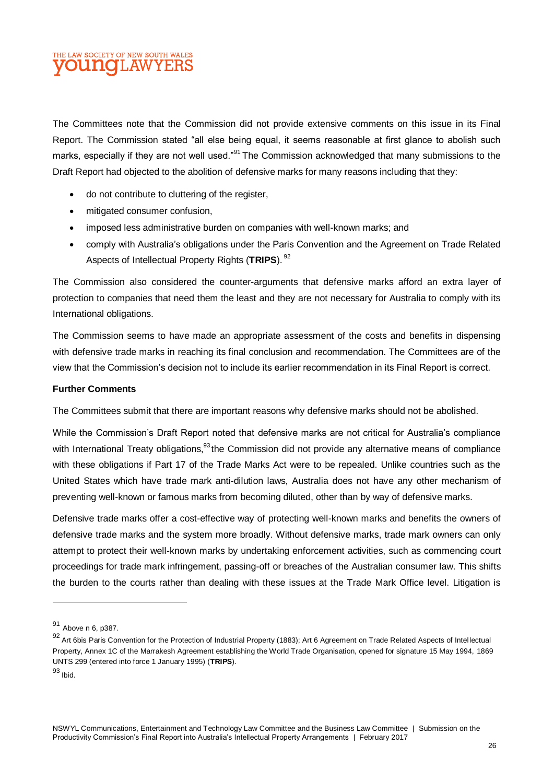## THE LAW SOCIETY OF NEW SOUTH WALES **OUINOI.AW**

The Committees note that the Commission did not provide extensive comments on this issue in its Final Report. The Commission stated "all else being equal, it seems reasonable at first glance to abolish such marks, especially if they are not well used."<sup>91</sup> The Commission acknowledged that many submissions to the Draft Report had objected to the abolition of defensive marks for many reasons including that they:

- do not contribute to cluttering of the register,
- $\bullet$  mitigated consumer confusion.
- imposed less administrative burden on companies with well-known marks; and
- comply with Australia's obligations under the Paris Convention and the Agreement on Trade Related Aspects of Intellectual Property Rights (TRIPS).<sup>92</sup>

The Commission also considered the counter-arguments that defensive marks afford an extra layer of protection to companies that need them the least and they are not necessary for Australia to comply with its International obligations.

The Commission seems to have made an appropriate assessment of the costs and benefits in dispensing with defensive trade marks in reaching its final conclusion and recommendation. The Committees are of the view that the Commission's decision not to include its earlier recommendation in its Final Report is correct.

#### **Further Comments**

The Committees submit that there are important reasons why defensive marks should not be abolished.

While the Commission's Draft Report noted that defensive marks are not critical for Australia's compliance with International Treaty obligations, <sup>93</sup> the Commission did not provide any alternative means of compliance with these obligations if Part 17 of the Trade Marks Act were to be repealed. Unlike countries such as the United States which have trade mark anti-dilution laws, Australia does not have any other mechanism of preventing well-known or famous marks from becoming diluted, other than by way of defensive marks.

Defensive trade marks offer a cost-effective way of protecting well-known marks and benefits the owners of defensive trade marks and the system more broadly. Without defensive marks, trade mark owners can only attempt to protect their well-known marks by undertaking enforcement activities, such as commencing court proceedings for trade mark infringement, passing-off or breaches of the Australian consumer law. This shifts the burden to the courts rather than dealing with these issues at the Trade Mark Office level. Litigation is

<sup>91</sup> Above n 6, p387.

<sup>92</sup> Art 6bis Paris Convention for the Protection of Industrial Property (1883); Art 6 Agreement on Trade Related Aspects of Intellectual Property, Annex 1C of the Marrakesh Agreement establishing the World Trade Organisation, opened for signature 15 May 1994, 1869 UNTS 299 (entered into force 1 January 1995) (**TRIPS**).

<sup>93</sup> Ibid.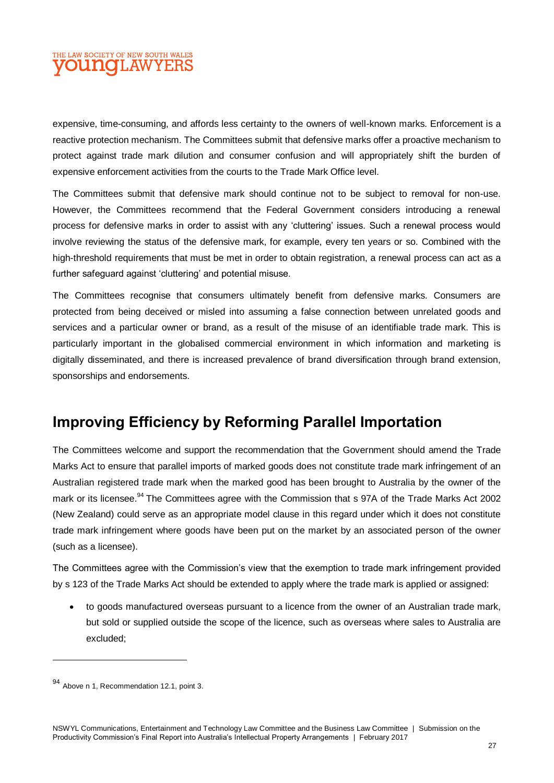## THE LAW SOCIETY OF NEW SOUTH WALES **OUNCLAWYEI**

expensive, time-consuming, and affords less certainty to the owners of well-known marks. Enforcement is a reactive protection mechanism. The Committees submit that defensive marks offer a proactive mechanism to protect against trade mark dilution and consumer confusion and will appropriately shift the burden of expensive enforcement activities from the courts to the Trade Mark Office level.

The Committees submit that defensive mark should continue not to be subject to removal for non-use. However, the Committees recommend that the Federal Government considers introducing a renewal process for defensive marks in order to assist with any 'cluttering' issues. Such a renewal process would involve reviewing the status of the defensive mark, for example, every ten years or so. Combined with the high-threshold requirements that must be met in order to obtain registration, a renewal process can act as a further safeguard against 'cluttering' and potential misuse.

The Committees recognise that consumers ultimately benefit from defensive marks. Consumers are protected from being deceived or misled into assuming a false connection between unrelated goods and services and a particular owner or brand, as a result of the misuse of an identifiable trade mark. This is particularly important in the globalised commercial environment in which information and marketing is digitally disseminated, and there is increased prevalence of brand diversification through brand extension, sponsorships and endorsements.

## **Improving Efficiency by Reforming Parallel Importation**

The Committees welcome and support the recommendation that the Government should amend the Trade Marks Act to ensure that parallel imports of marked goods does not constitute trade mark infringement of an Australian registered trade mark when the marked good has been brought to Australia by the owner of the mark or its licensee.<sup>94</sup> The Committees agree with the Commission that s 97A of the Trade Marks Act 2002 (New Zealand) could serve as an appropriate model clause in this regard under which it does not constitute trade mark infringement where goods have been put on the market by an associated person of the owner (such as a licensee).

The Committees agree with the Commission's view that the exemption to trade mark infringement provided by s 123 of the Trade Marks Act should be extended to apply where the trade mark is applied or assigned:

 to goods manufactured overseas pursuant to a licence from the owner of an Australian trade mark, but sold or supplied outside the scope of the licence, such as overseas where sales to Australia are excluded;

l

<sup>94</sup> Above n 1, Recommendation 12.1, point 3.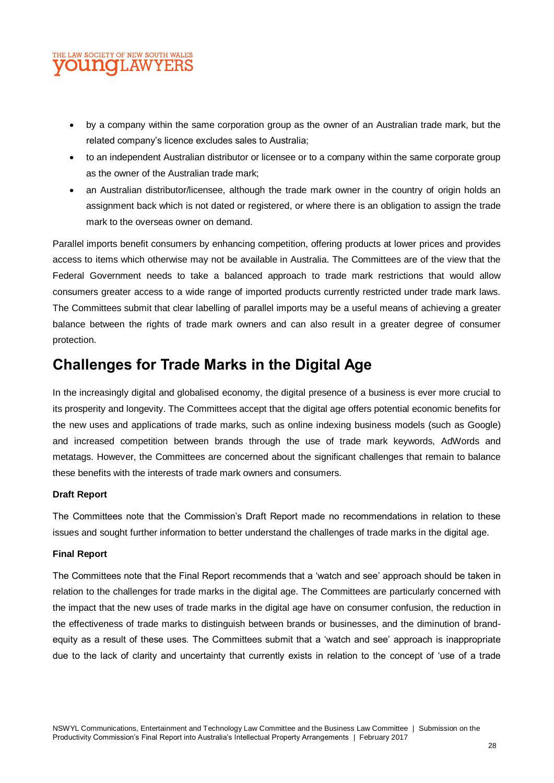## THE LAW SOCIETY OF NEW SOUTH WALES **OUNOLAW**

- by a company within the same corporation group as the owner of an Australian trade mark, but the related company's licence excludes sales to Australia;
- to an independent Australian distributor or licensee or to a company within the same corporate group as the owner of the Australian trade mark;
- an Australian distributor/licensee, although the trade mark owner in the country of origin holds an assignment back which is not dated or registered, or where there is an obligation to assign the trade mark to the overseas owner on demand.

Parallel imports benefit consumers by enhancing competition, offering products at lower prices and provides access to items which otherwise may not be available in Australia. The Committees are of the view that the Federal Government needs to take a balanced approach to trade mark restrictions that would allow consumers greater access to a wide range of imported products currently restricted under trade mark laws. The Committees submit that clear labelling of parallel imports may be a useful means of achieving a greater balance between the rights of trade mark owners and can also result in a greater degree of consumer protection.

## **Challenges for Trade Marks in the Digital Age**

In the increasingly digital and globalised economy, the digital presence of a business is ever more crucial to its prosperity and longevity. The Committees accept that the digital age offers potential economic benefits for the new uses and applications of trade marks, such as online indexing business models (such as Google) and increased competition between brands through the use of trade mark keywords, AdWords and metatags. However, the Committees are concerned about the significant challenges that remain to balance these benefits with the interests of trade mark owners and consumers.

#### **Draft Report**

The Committees note that the Commission's Draft Report made no recommendations in relation to these issues and sought further information to better understand the challenges of trade marks in the digital age.

#### **Final Report**

The Committees note that the Final Report recommends that a 'watch and see' approach should be taken in relation to the challenges for trade marks in the digital age. The Committees are particularly concerned with the impact that the new uses of trade marks in the digital age have on consumer confusion, the reduction in the effectiveness of trade marks to distinguish between brands or businesses, and the diminution of brandequity as a result of these uses. The Committees submit that a 'watch and see' approach is inappropriate due to the lack of clarity and uncertainty that currently exists in relation to the concept of 'use of a trade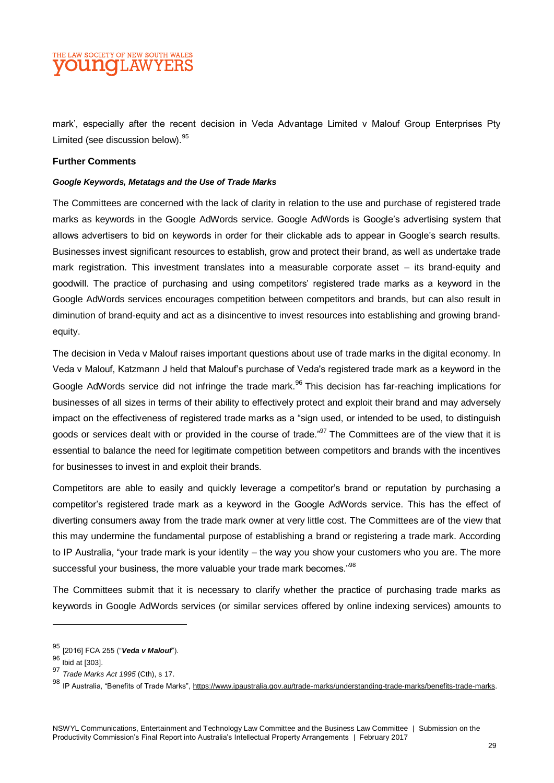## THE LAW SOCIETY OF NEW SOUTH WALES **OUINOILAWYEI**

mark', especially after the recent decision in Veda Advantage Limited v Malouf Group Enterprises Pty Limited (see discussion below).<sup>95</sup>

#### **Further Comments**

#### *Google Keywords, Metatags and the Use of Trade Marks*

The Committees are concerned with the lack of clarity in relation to the use and purchase of registered trade marks as keywords in the Google AdWords service. Google AdWords is Google's advertising system that allows advertisers to bid on keywords in order for their clickable ads to appear in Google's search results. Businesses invest significant resources to establish, grow and protect their brand, as well as undertake trade mark registration. This investment translates into a measurable corporate asset – its brand-equity and goodwill. The practice of purchasing and using competitors' registered trade marks as a keyword in the Google AdWords services encourages competition between competitors and brands, but can also result in diminution of brand-equity and act as a disincentive to invest resources into establishing and growing brandequity.

The decision in Veda v Malouf raises important questions about use of trade marks in the digital economy. In Veda v Malouf, Katzmann J held that Malouf's purchase of Veda's registered trade mark as a keyword in the Google AdWords service did not infringe the trade mark.<sup>96</sup> This decision has far-reaching implications for businesses of all sizes in terms of their ability to effectively protect and exploit their brand and may adversely impact on the effectiveness of registered trade marks as a "sign used, or intended to be used, to distinguish goods or services dealt with or provided in the course of trade."<sup>97</sup> The Committees are of the view that it is essential to balance the need for legitimate competition between competitors and brands with the incentives for businesses to invest in and exploit their brands.

Competitors are able to easily and quickly leverage a competitor's brand or reputation by purchasing a competitor's registered trade mark as a keyword in the Google AdWords service. This has the effect of diverting consumers away from the trade mark owner at very little cost. The Committees are of the view that this may undermine the fundamental purpose of establishing a brand or registering a trade mark. According to IP Australia, "your trade mark is your identity – the way you show your customers who you are. The more successful your business, the more valuable your trade mark becomes."<sup>98</sup>

The Committees submit that it is necessary to clarify whether the practice of purchasing trade marks as keywords in Google AdWords services (or similar services offered by online indexing services) amounts to

<sup>95</sup> [2016] FCA 255 ("*Veda v Malouf*").

 $96$  Ibid at [303].

<sup>97</sup> *Trade Marks Act 1995* (Cth), s 17.

<sup>98</sup> IP Australia, "Benefits of Trade Marks", [https://www.ipaustralia.gov.au/trade-marks/understanding-trade-marks/benefits-trade-marks.](https://www.ipaustralia.gov.au/trade-marks/understanding-trade-marks/benefits-trade-marks)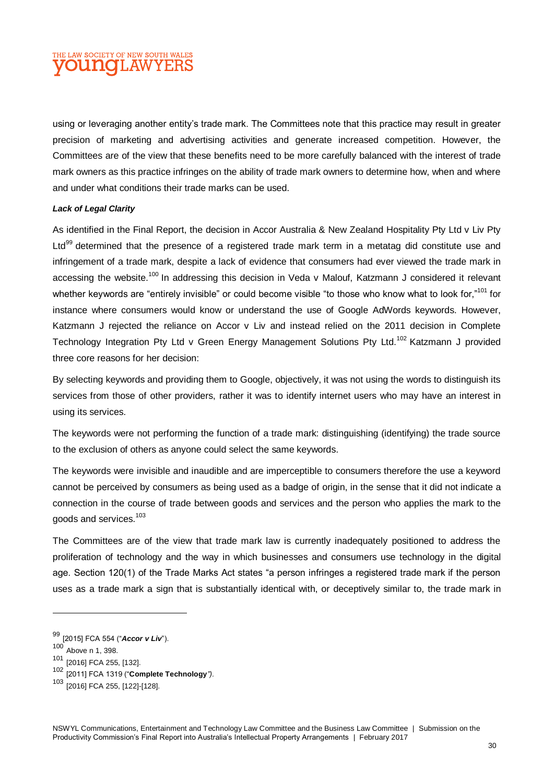## THE LAW SOCIETY OF NEW SOUTH WALES **OUINOI.AW**

using or leveraging another entity's trade mark. The Committees note that this practice may result in greater precision of marketing and advertising activities and generate increased competition. However, the Committees are of the view that these benefits need to be more carefully balanced with the interest of trade mark owners as this practice infringes on the ability of trade mark owners to determine how, when and where and under what conditions their trade marks can be used.

#### *Lack of Legal Clarity*

As identified in the Final Report, the decision in Accor Australia & New Zealand Hospitality Pty Ltd v Liv Pty Ltd<sup>99</sup> determined that the presence of a registered trade mark term in a metatag did constitute use and infringement of a trade mark, despite a lack of evidence that consumers had ever viewed the trade mark in accessing the website.<sup>100</sup> In addressing this decision in Veda v Malouf, Katzmann J considered it relevant whether keywords are "entirely invisible" or could become visible "to those who know what to look for,"<sup>101</sup> for instance where consumers would know or understand the use of Google AdWords keywords. However, Katzmann J rejected the reliance on Accor v Liv and instead relied on the 2011 decision in Complete Technology Integration Pty Ltd y Green Energy Management Solutions Pty Ltd.<sup>102</sup> Katzmann J provided three core reasons for her decision:

By selecting keywords and providing them to Google, objectively, it was not using the words to distinguish its services from those of other providers, rather it was to identify internet users who may have an interest in using its services.

The keywords were not performing the function of a trade mark: distinguishing (identifying) the trade source to the exclusion of others as anyone could select the same keywords.

The keywords were invisible and inaudible and are imperceptible to consumers therefore the use a keyword cannot be perceived by consumers as being used as a badge of origin, in the sense that it did not indicate a connection in the course of trade between goods and services and the person who applies the mark to the goods and services.<sup>103</sup>

The Committees are of the view that trade mark law is currently inadequately positioned to address the proliferation of technology and the way in which businesses and consumers use technology in the digital age. Section 120(1) of the Trade Marks Act states "a person infringes a registered trade mark if the person uses as a trade mark a sign that is substantially identical with, or deceptively similar to, the trade mark in

<sup>99</sup> [2015] FCA 554 ("*Accor v Liv*").

<sup>100</sup> Above n 1, 398.

<sup>101</sup> [2016] FCA 255, [132].

<sup>102</sup> [2011] FCA 1319 ("**Complete Technology***").*

<sup>103</sup> [2016] FCA 255, [122]-[128].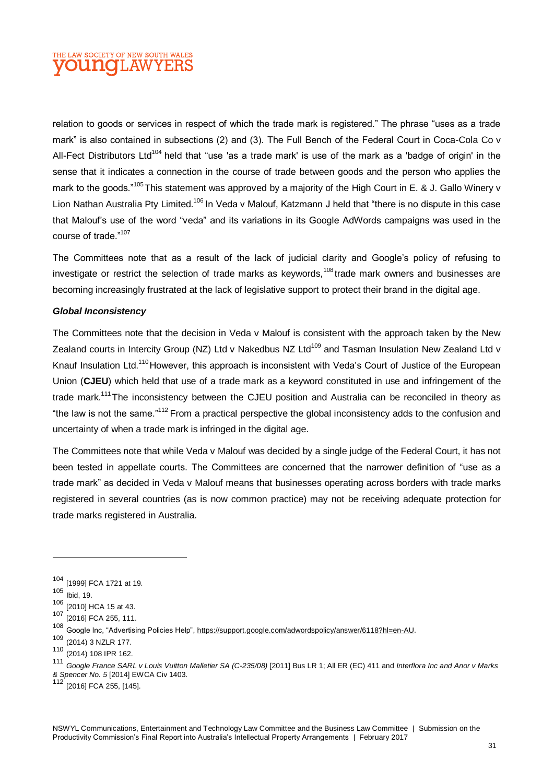## THE LAW SOCIETY OF NEW SOUTH WALES **DUNOLAWYEI**

relation to goods or services in respect of which the trade mark is registered." The phrase "uses as a trade mark" is also contained in subsections (2) and (3). The Full Bench of the Federal Court in Coca-Cola Co v All-Fect Distributors Ltd<sup>104</sup> held that "use 'as a trade mark' is use of the mark as a 'badge of origin' in the sense that it indicates a connection in the course of trade between goods and the person who applies the mark to the goods."<sup>105</sup>This statement was approved by a majority of the High Court in E. & J. Gallo Winery v Lion Nathan Australia Pty Limited.<sup>106</sup> In Veda v Malouf, Katzmann J held that "there is no dispute in this case that Malouf's use of the word "veda" and its variations in its Google AdWords campaigns was used in the course of trade."<sup>107</sup>

The Committees note that as a result of the lack of judicial clarity and Google's policy of refusing to investigate or restrict the selection of trade marks as keywords.<sup>108</sup> trade mark owners and businesses are becoming increasingly frustrated at the lack of legislative support to protect their brand in the digital age.

#### *Global Inconsistency*

The Committees note that the decision in Veda v Malouf is consistent with the approach taken by the New Zealand courts in Intercity Group (NZ) Ltd v Nakedbus NZ Ltd<sup>109</sup> and Tasman Insulation New Zealand Ltd v Knauf Insulation Ltd.<sup>110</sup> However, this approach is inconsistent with Veda's Court of Justice of the European Union (**CJEU**) which held that use of a trade mark as a keyword constituted in use and infringement of the trade mark.<sup>111</sup>The inconsistency between the CJEU position and Australia can be reconciled in theory as "the law is not the same."<sup>112</sup> From a practical perspective the global inconsistency adds to the confusion and uncertainty of when a trade mark is infringed in the digital age.

The Committees note that while Veda v Malouf was decided by a single judge of the Federal Court, it has not been tested in appellate courts. The Committees are concerned that the narrower definition of "use as a trade mark" as decided in Veda v Malouf means that businesses operating across borders with trade marks registered in several countries (as is now common practice) may not be receiving adequate protection for trade marks registered in Australia.

<sup>104</sup> [1999] FCA 1721 at 19.

<sup>105</sup> Ibid, 19.

 $106$  [2010] HCA 15 at 43.

<sup>107 [2016]</sup> FCA 255, 111.

<sup>108</sup> Google Inc, "Advertising Policies Help", <u>https://support.google.com/adwordspolicy/answer/6118?hl=en-AU</u>.

<sup>109</sup> (2014) 3 NZLR 177.

 $110$  (2014) 108 IPR 162.

<sup>111</sup> *Google France SARL v Louis Vuitton Malletier SA (C-235/08)* [2011] Bus LR 1; All ER (EC) 411 and *Interflora Inc and Anor v Marks & Spencer No. 5* [2014] EWCA Civ 1403.

<sup>[2016]</sup> FCA 255, [145].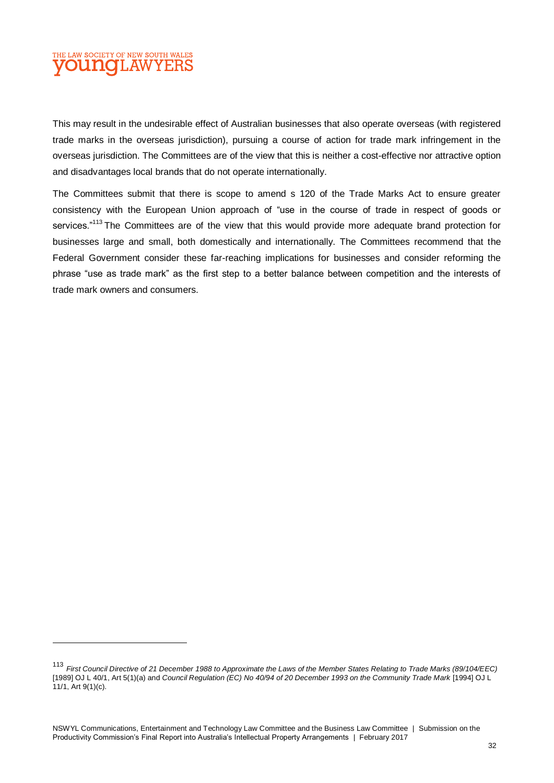## THE LAW SOCIETY OF NEW SOUTH WALES **DUNCLAWYER**

 $\overline{a}$ 

This may result in the undesirable effect of Australian businesses that also operate overseas (with registered trade marks in the overseas jurisdiction), pursuing a course of action for trade mark infringement in the overseas jurisdiction. The Committees are of the view that this is neither a cost-effective nor attractive option and disadvantages local brands that do not operate internationally.

The Committees submit that there is scope to amend s 120 of the Trade Marks Act to ensure greater consistency with the European Union approach of "use in the course of trade in respect of goods or services."<sup>113</sup> The Committees are of the view that this would provide more adequate brand protection for businesses large and small, both domestically and internationally. The Committees recommend that the Federal Government consider these far-reaching implications for businesses and consider reforming the phrase "use as trade mark" as the first step to a better balance between competition and the interests of trade mark owners and consumers.

<sup>113</sup> *First Council Directive of 21 December 1988 to Approximate the Laws of the Member States Relating to Trade Marks (89/104/EEC)* [1989] OJ L 40/1, Art 5(1)(a) and *Council Regulation (EC) No 40/94 of 20 December 1993 on the Community Trade Mark* [1994] OJ L 11/1, Art 9(1)(c).